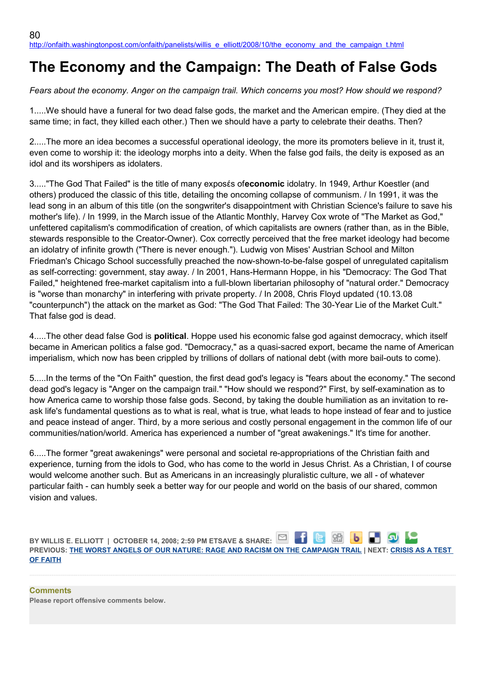## **The Economy and the Campaign: The Death of False Gods**

*Fears about the economy. Anger on the campaign trail. Which concerns you most? How should we respond?*

1.....We should have a funeral for two dead false gods, the market and the American empire. (They died at the same time; in fact, they killed each other.) Then we should have a party to celebrate their deaths. Then?

2.....The more an idea becomes a successful operational ideology, the more its promoters believe in it, trust it, even come to worship it: the ideology morphs into a deity. When the false god fails, the deity is exposed as an idol and its worshipers as idolaters.

3....."The God That Failed" is the title of many exposέs of**economic** idolatry. In 1949, Arthur Koestler (and others) produced the classic of this title, detailing the oncoming collapse of communism. / In 1991, it was the lead song in an album of this title (on the songwriter's disappointment with Christian Science's failure to save his mother's life). / In 1999, in the March issue of the Atlantic Monthly, Harvey Cox wrote of "The Market as God," unfettered capitalism's commodification of creation, of which capitalists are owners (rather than, as in the Bible, stewards responsible to the Creator-Owner). Cox correctly perceived that the free market ideology had become an idolatry of infinite growth ("There is never enough."). Ludwig von Mises' Austrian School and Milton Friedman's Chicago School successfully preached the now-shown-to-be-false gospel of unregulated capitalism as self-correcting: government, stay away. / In 2001, Hans-Hermann Hoppe, in his "Democracy: The God That Failed," heightened free-market capitalism into a full-blown libertarian philosophy of "natural order." Democracy is "worse than monarchy" in interfering with private property. / In 2008, Chris Floyd updated (10.13.08 "counterpunch") the attack on the market as God: "The God That Failed: The 30-Year Lie of the Market Cult." That false god is dead.

4.....The other dead false God is **political**. Hoppe used his economic false god against democracy, which itself became in American politics a false god. "Democracy," as a quasi-sacred export, became the name of American imperialism, which now has been crippled by trillions of dollars of national debt (with more bail-outs to come).

5.....In the terms of the "On Faith" question, the first dead god's legacy is "fears about the economy." The second dead god's legacy is "Anger on the campaign trail." "How should we respond?" First, by self-examination as to how America came to worship those false gods. Second, by taking the double humiliation as an invitation to reask life's fundamental questions as to what is real, what is true, what leads to hope instead of fear and to justice and peace instead of anger. Third, by a more serious and costly personal engagement in the common life of our communities/nation/world. America has experienced a number of "great awakenings." It's time for another.

6.....The former "great awakenings" were personal and societal re-appropriations of the Christian faith and experience, turning from the idols to God, who has come to the world in Jesus Christ. As a Christian, I of course would welcome another such. But as Americans in an increasingly pluralistic culture, we all - of whatever particular faith - can humbly seek a better way for our people and world on the basis of our shared, common vision and values.

**BY WILLIS E. ELLIOTT | OCTOBER 14, 2008; 2:59 PM ETSAVE & SHARE:** □ □ 88 **PREVIOUS: [THE WORST ANGELS OF OUR NATURE: RAGE AND RACISM ON THE CAMPAIGN TRAIL](http://onfaith.washingtonpost.com/onfaith/panelists/susan_jacoby/2008/10/the_worst_angels_of_our_nature.html) | NEXT: [CRISIS AS A TEST](http://onfaith.washingtonpost.com/onfaith/panelists/deepak_chopra/2008/10/crisis_as_a_test_of_faith.html)  [OF FAITH](http://onfaith.washingtonpost.com/onfaith/panelists/deepak_chopra/2008/10/crisis_as_a_test_of_faith.html)**

**Comments Please report offensive comments below.**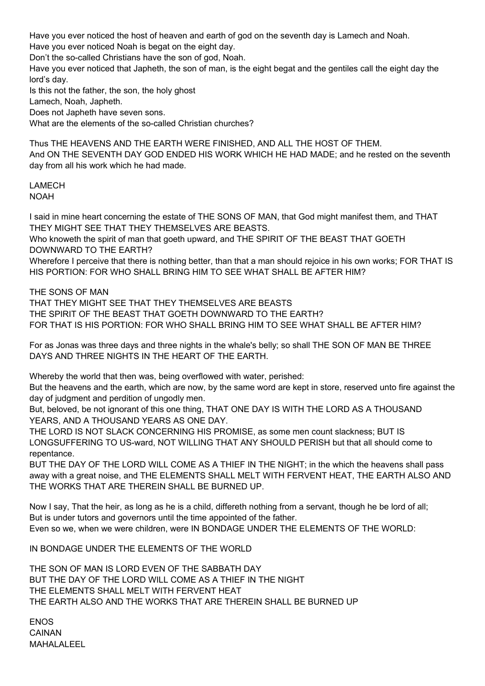Have you ever noticed the host of heaven and earth of god on the seventh day is Lamech and Noah.

Have you ever noticed Noah is begat on the eight day.

Don't the so-called Christians have the son of god, Noah.

Have you ever noticed that Japheth, the son of man, is the eight begat and the gentiles call the eight day the lord's day.

Is this not the father, the son, the holy ghost

Lamech, Noah, Japheth.

Does not Japheth have seven sons.

What are the elements of the so-called Christian churches?

Thus THE HEAVENS AND THE EARTH WERE FINISHED, AND ALL THE HOST OF THEM. And ON THE SEVENTH DAY GOD ENDED HIS WORK WHICH HE HAD MADE; and he rested on the seventh day from all his work which he had made.

## LAMECH

NOAH

I said in mine heart concerning the estate of THE SONS OF MAN, that God might manifest them, and THAT THEY MIGHT SEE THAT THEY THEMSELVES ARE BEASTS.

Who knoweth the spirit of man that goeth upward, and THE SPIRIT OF THE BEAST THAT GOETH DOWNWARD TO THE EARTH?

Wherefore I perceive that there is nothing better, than that a man should rejoice in his own works; FOR THAT IS HIS PORTION: FOR WHO SHALL BRING HIM TO SEE WHAT SHALL BE AFTER HIM?

THE SONS OF MAN

THAT THEY MIGHT SEE THAT THEY THEMSELVES ARE BEASTS THE SPIRIT OF THE BEAST THAT GOETH DOWNWARD TO THE EARTH? FOR THAT IS HIS PORTION: FOR WHO SHALL BRING HIM TO SEE WHAT SHALL BE AFTER HIM?

For as Jonas was three days and three nights in the whale's belly; so shall THE SON OF MAN BE THREE DAYS AND THREE NIGHTS IN THE HEART OF THE EARTH.

Whereby the world that then was, being overflowed with water, perished:

But the heavens and the earth, which are now, by the same word are kept in store, reserved unto fire against the day of judgment and perdition of ungodly men.

But, beloved, be not ignorant of this one thing, THAT ONE DAY IS WITH THE LORD AS A THOUSAND YEARS, AND A THOUSAND YEARS AS ONE DAY.

THE LORD IS NOT SLACK CONCERNING HIS PROMISE, as some men count slackness; BUT IS LONGSUFFERING TO US-ward, NOT WILLING THAT ANY SHOULD PERISH but that all should come to repentance.

BUT THE DAY OF THE LORD WILL COME AS A THIEF IN THE NIGHT; in the which the heavens shall pass away with a great noise, and THE ELEMENTS SHALL MELT WITH FERVENT HEAT, THE EARTH ALSO AND THE WORKS THAT ARE THEREIN SHALL BE BURNED UP.

Now I say, That the heir, as long as he is a child, differeth nothing from a servant, though he be lord of all; But is under tutors and governors until the time appointed of the father. Even so we, when we were children, were IN BONDAGE UNDER THE ELEMENTS OF THE WORLD:

IN BONDAGE UNDER THE ELEMENTS OF THE WORLD

THE SON OF MAN IS LORD EVEN OF THE SABBATH DAY BUT THE DAY OF THE LORD WILL COME AS A THIEF IN THE NIGHT THE ELEMENTS SHALL MELT WITH FERVENT HEAT THE EARTH ALSO AND THE WORKS THAT ARE THEREIN SHALL BE BURNED UP

ENOS CAINAN MAHALALEEL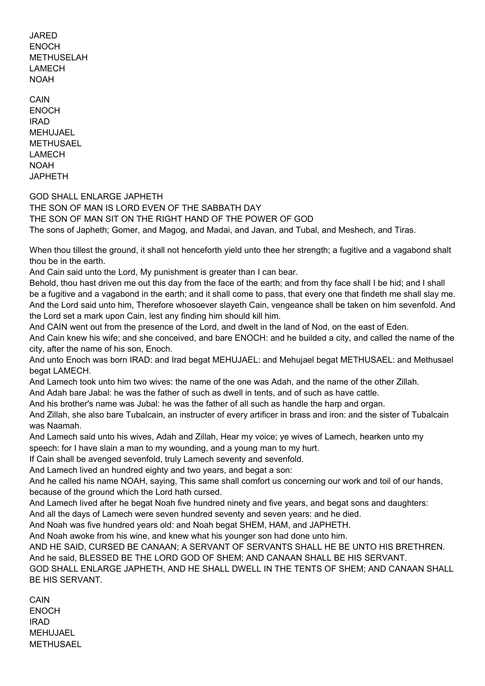JARED **ENOCH** METHUSELAH LAMECH NOAH

CAIN ENOCH IRAD MEHUJAEL METHUSAEL LAMECH NOAH JAPHETH

GOD SHALL ENLARGE JAPHETH

THE SON OF MAN IS LORD EVEN OF THE SABBATH DAY THE SON OF MAN SIT ON THE RIGHT HAND OF THE POWER OF GOD The sons of Japheth; Gomer, and Magog, and Madai, and Javan, and Tubal, and Meshech, and Tiras.

When thou tillest the ground, it shall not henceforth yield unto thee her strength; a fugitive and a vagabond shalt thou be in the earth.

And Cain said unto the Lord, My punishment is greater than I can bear.

Behold, thou hast driven me out this day from the face of the earth; and from thy face shall I be hid; and I shall be a fugitive and a vagabond in the earth; and it shall come to pass, that every one that findeth me shall slay me. And the Lord said unto him, Therefore whosoever slayeth Cain, vengeance shall be taken on him sevenfold. And the Lord set a mark upon Cain, lest any finding him should kill him.

And CAIN went out from the presence of the Lord, and dwelt in the land of Nod, on the east of Eden.

And Cain knew his wife; and she conceived, and bare ENOCH: and he builded a city, and called the name of the city, after the name of his son, Enoch.

And unto Enoch was born IRAD: and Irad begat MEHUJAEL: and Mehujael begat METHUSAEL: and Methusael begat LAMECH.

And Lamech took unto him two wives: the name of the one was Adah, and the name of the other Zillah.

And Adah bare Jabal: he was the father of such as dwell in tents, and of such as have cattle.

And his brother's name was Jubal: he was the father of all such as handle the harp and organ.

And Zillah, she also bare Tubalcain, an instructer of every artificer in brass and iron: and the sister of Tubalcain was Naamah.

And Lamech said unto his wives, Adah and Zillah, Hear my voice; ye wives of Lamech, hearken unto my speech: for I have slain a man to my wounding, and a young man to my hurt.

If Cain shall be avenged sevenfold, truly Lamech seventy and sevenfold.

And Lamech lived an hundred eighty and two years, and begat a son:

And he called his name NOAH, saying, This same shall comfort us concerning our work and toil of our hands, because of the ground which the Lord hath cursed.

And Lamech lived after he begat Noah five hundred ninety and five years, and begat sons and daughters:

And all the days of Lamech were seven hundred seventy and seven years: and he died.

And Noah was five hundred years old: and Noah begat SHEM, HAM, and JAPHETH.

And Noah awoke from his wine, and knew what his younger son had done unto him.

AND HE SAID, CURSED BE CANAAN; A SERVANT OF SERVANTS SHALL HE BE UNTO HIS BRETHREN. And he said, BLESSED BE THE LORD GOD OF SHEM; AND CANAAN SHALL BE HIS SERVANT.

GOD SHALL ENLARGE JAPHETH, AND HE SHALL DWELL IN THE TENTS OF SHEM; AND CANAAN SHALL BE HIS SERVANT.

**CAIN** ENOCH IRAD MEHUJAEL METHUSAEL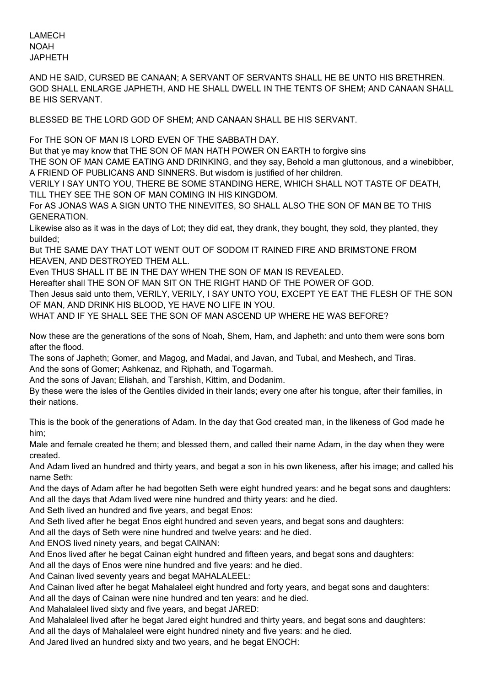LAMECH NOAH JAPHETH

AND HE SAID, CURSED BE CANAAN; A SERVANT OF SERVANTS SHALL HE BE UNTO HIS BRETHREN. GOD SHALL ENLARGE JAPHETH, AND HE SHALL DWELL IN THE TENTS OF SHEM; AND CANAAN SHALL BE HIS SERVANT.

BLESSED BE THE LORD GOD OF SHEM; AND CANAAN SHALL BE HIS SERVANT.

For THE SON OF MAN IS LORD EVEN OF THE SABBATH DAY.

But that ye may know that THE SON OF MAN HATH POWER ON EARTH to forgive sins

THE SON OF MAN CAME EATING AND DRINKING, and they say, Behold a man gluttonous, and a winebibber, A FRIEND OF PUBLICANS AND SINNERS. But wisdom is justified of her children.

VERILY I SAY UNTO YOU, THERE BE SOME STANDING HERE, WHICH SHALL NOT TASTE OF DEATH, TILL THEY SEE THE SON OF MAN COMING IN HIS KINGDOM.

For AS JONAS WAS A SIGN UNTO THE NINEVITES, SO SHALL ALSO THE SON OF MAN BE TO THIS GENERATION.

Likewise also as it was in the days of Lot; they did eat, they drank, they bought, they sold, they planted, they builded;

But THE SAME DAY THAT LOT WENT OUT OF SODOM IT RAINED FIRE AND BRIMSTONE FROM HEAVEN, AND DESTROYED THEM ALL.

Even THUS SHALL IT BE IN THE DAY WHEN THE SON OF MAN IS REVEALED.

Hereafter shall THE SON OF MAN SIT ON THE RIGHT HAND OF THE POWER OF GOD.

Then Jesus said unto them, VERILY, VERILY, I SAY UNTO YOU, EXCEPT YE EAT THE FLESH OF THE SON OF MAN, AND DRINK HIS BLOOD, YE HAVE NO LIFE IN YOU.

WHAT AND IF YE SHALL SEE THE SON OF MAN ASCEND UP WHERE HE WAS BEFORE?

Now these are the generations of the sons of Noah, Shem, Ham, and Japheth: and unto them were sons born after the flood.

The sons of Japheth; Gomer, and Magog, and Madai, and Javan, and Tubal, and Meshech, and Tiras. And the sons of Gomer; Ashkenaz, and Riphath, and Togarmah.

And the sons of Javan; Elishah, and Tarshish, Kittim, and Dodanim.

By these were the isles of the Gentiles divided in their lands; every one after his tongue, after their families, in their nations.

This is the book of the generations of Adam. In the day that God created man, in the likeness of God made he him;

Male and female created he them; and blessed them, and called their name Adam, in the day when they were created.

And Adam lived an hundred and thirty years, and begat a son in his own likeness, after his image; and called his name Seth:

And the days of Adam after he had begotten Seth were eight hundred years: and he begat sons and daughters: And all the days that Adam lived were nine hundred and thirty years: and he died.

And Seth lived an hundred and five years, and begat Enos:

And Seth lived after he begat Enos eight hundred and seven years, and begat sons and daughters:

And all the days of Seth were nine hundred and twelve years: and he died.

And ENOS lived ninety years, and begat CAINAN:

And Enos lived after he begat Cainan eight hundred and fifteen years, and begat sons and daughters:

And all the days of Enos were nine hundred and five years: and he died.

And Cainan lived seventy years and begat MAHALALEEL:

And Cainan lived after he begat Mahalaleel eight hundred and forty years, and begat sons and daughters: And all the days of Cainan were nine hundred and ten years: and he died.

And Mahalaleel lived sixty and five years, and begat JARED:

And Mahalaleel lived after he begat Jared eight hundred and thirty years, and begat sons and daughters:

And all the days of Mahalaleel were eight hundred ninety and five years: and he died.

And Jared lived an hundred sixty and two years, and he begat ENOCH: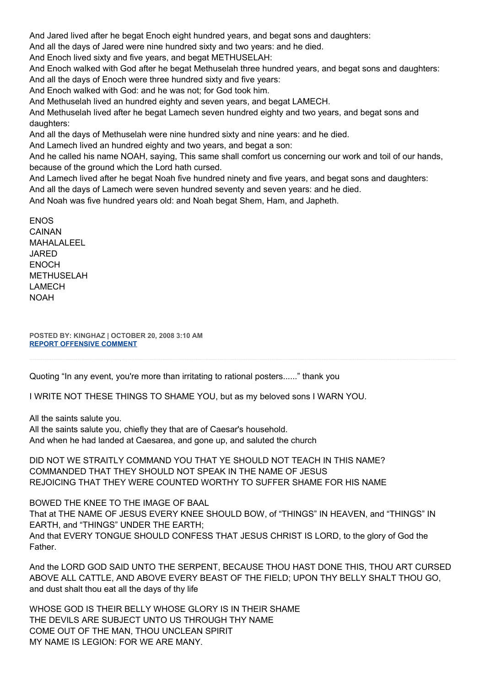And Jared lived after he begat Enoch eight hundred years, and begat sons and daughters:

And all the days of Jared were nine hundred sixty and two years: and he died.

And Enoch lived sixty and five years, and begat METHUSELAH:

And Enoch walked with God after he begat Methuselah three hundred years, and begat sons and daughters: And all the days of Enoch were three hundred sixty and five years:

And Enoch walked with God: and he was not; for God took him.

And Methuselah lived an hundred eighty and seven years, and begat LAMECH.

And Methuselah lived after he begat Lamech seven hundred eighty and two years, and begat sons and daughters:

And all the days of Methuselah were nine hundred sixty and nine years: and he died.

And Lamech lived an hundred eighty and two years, and begat a son:

And he called his name NOAH, saying, This same shall comfort us concerning our work and toil of our hands, because of the ground which the Lord hath cursed.

And Lamech lived after he begat Noah five hundred ninety and five years, and begat sons and daughters: And all the days of Lamech were seven hundred seventy and seven years: and he died.

And Noah was five hundred years old: and Noah begat Shem, Ham, and Japheth.

ENOS CAINAN MAHALALEEL JARED ENOCH METHUSELAH LAMECH NOAH

**POSTED BY: KINGHAZ | OCTOBER 20, 2008 3:10 AM [REPORT OFFENSIVE COMMENT](mailto:blogs@washingtonpost.com?subject=On%20Faith%20Panelists%20Blog%20%20%7C%20%20kinghaz%20%20%7C%20%20The%20Economy%20and%20the%20Campaign:%20The%20Death%20of%20False%20Gods%20%20%7C%20%204553408&body=%0D%0D%0D%0D%0D================%0D?__mode=view%26_type=comment%26id=4553408%26blog_id=618)**

Quoting "In any event, you're more than irritating to rational posters......" thank you

I WRITE NOT THESE THINGS TO SHAME YOU, but as my beloved sons I WARN YOU.

All the saints salute you.

All the saints salute you, chiefly they that are of Caesar's household. And when he had landed at Caesarea, and gone up, and saluted the church

DID NOT WE STRAITLY COMMAND YOU THAT YE SHOULD NOT TEACH IN THIS NAME? COMMANDED THAT THEY SHOULD NOT SPEAK IN THE NAME OF JESUS REJOICING THAT THEY WERE COUNTED WORTHY TO SUFFER SHAME FOR HIS NAME

BOWED THE KNEE TO THE IMAGE OF BAAL That at THE NAME OF JESUS EVERY KNEE SHOULD BOW, of "THINGS" IN HEAVEN, and "THINGS" IN EARTH, and "THINGS" UNDER THE EARTH; And that EVERY TONGUE SHOULD CONFESS THAT JESUS CHRIST IS LORD, to the glory of God the Father.

And the LORD GOD SAID UNTO THE SERPENT, BECAUSE THOU HAST DONE THIS, THOU ART CURSED ABOVE ALL CATTLE, AND ABOVE EVERY BEAST OF THE FIELD; UPON THY BELLY SHALT THOU GO, and dust shalt thou eat all the days of thy life

WHOSE GOD IS THEIR BELLY WHOSE GLORY IS IN THEIR SHAME THE DEVILS ARE SUBJECT UNTO US THROUGH THY NAME COME OUT OF THE MAN, THOU UNCLEAN SPIRIT MY NAME IS LEGION: FOR WE ARE MANY.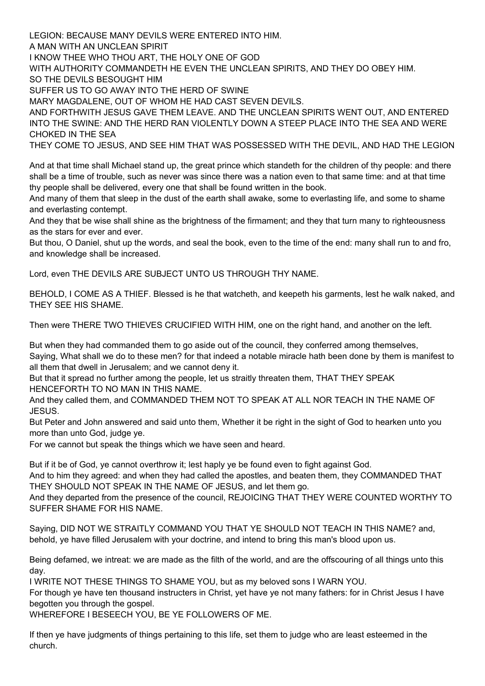LEGION: BECAUSE MANY DEVILS WERE ENTERED INTO HIM. A MAN WITH AN UNCLEAN SPIRIT I KNOW THEE WHO THOU ART, THE HOLY ONE OF GOD WITH AUTHORITY COMMANDETH HE EVEN THE UNCLEAN SPIRITS, AND THEY DO OBEY HIM. SO THE DEVILS BESOUGHT HIM SUFFER US TO GO AWAY INTO THE HERD OF SWINE MARY MAGDALENE, OUT OF WHOM HE HAD CAST SEVEN DEVILS. AND FORTHWITH JESUS GAVE THEM LEAVE. AND THE UNCLEAN SPIRITS WENT OUT, AND ENTERED INTO THE SWINE: AND THE HERD RAN VIOLENTLY DOWN A STEEP PLACE INTO THE SEA AND WERE CHOKED IN THE SEA THEY COME TO JESUS, AND SEE HIM THAT WAS POSSESSED WITH THE DEVIL, AND HAD THE LEGION

And at that time shall Michael stand up, the great prince which standeth for the children of thy people: and there shall be a time of trouble, such as never was since there was a nation even to that same time: and at that time thy people shall be delivered, every one that shall be found written in the book.

And many of them that sleep in the dust of the earth shall awake, some to everlasting life, and some to shame and everlasting contempt.

And they that be wise shall shine as the brightness of the firmament; and they that turn many to righteousness as the stars for ever and ever.

But thou, O Daniel, shut up the words, and seal the book, even to the time of the end: many shall run to and fro, and knowledge shall be increased.

Lord, even THE DEVILS ARE SUBJECT UNTO US THROUGH THY NAME.

BEHOLD, I COME AS A THIEF. Blessed is he that watcheth, and keepeth his garments, lest he walk naked, and THEY SEE HIS SHAME.

Then were THERE TWO THIEVES CRUCIFIED WITH HIM, one on the right hand, and another on the left.

But when they had commanded them to go aside out of the council, they conferred among themselves, Saying, What shall we do to these men? for that indeed a notable miracle hath been done by them is manifest to all them that dwell in Jerusalem; and we cannot deny it.

But that it spread no further among the people, let us straitly threaten them, THAT THEY SPEAK HENCEFORTH TO NO MAN IN THIS NAME.

And they called them, and COMMANDED THEM NOT TO SPEAK AT ALL NOR TEACH IN THE NAME OF JESUS.

But Peter and John answered and said unto them, Whether it be right in the sight of God to hearken unto you more than unto God, judge ye.

For we cannot but speak the things which we have seen and heard.

But if it be of God, ye cannot overthrow it; lest haply ye be found even to fight against God.

And to him they agreed: and when they had called the apostles, and beaten them, they COMMANDED THAT THEY SHOULD NOT SPEAK IN THE NAME OF JESUS, and let them go.

And they departed from the presence of the council, REJOICING THAT THEY WERE COUNTED WORTHY TO SUFFER SHAME FOR HIS NAME.

Saying, DID NOT WE STRAITLY COMMAND YOU THAT YE SHOULD NOT TEACH IN THIS NAME? and, behold, ye have filled Jerusalem with your doctrine, and intend to bring this man's blood upon us.

Being defamed, we intreat: we are made as the filth of the world, and are the offscouring of all things unto this day.

I WRITE NOT THESE THINGS TO SHAME YOU, but as my beloved sons I WARN YOU.

For though ye have ten thousand instructers in Christ, yet have ye not many fathers: for in Christ Jesus I have begotten you through the gospel.

WHEREFORE I BESEECH YOU, BE YE FOLLOWERS OF ME.

If then ye have judgments of things pertaining to this life, set them to judge who are least esteemed in the church.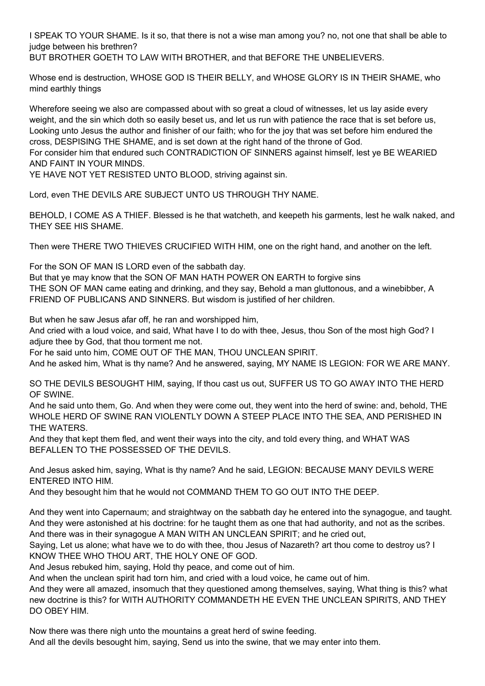I SPEAK TO YOUR SHAME. Is it so, that there is not a wise man among you? no, not one that shall be able to judge between his brethren?

BUT BROTHER GOETH TO LAW WITH BROTHER, and that BEFORE THE UNBELIEVERS.

Whose end is destruction, WHOSE GOD IS THEIR BELLY, and WHOSE GLORY IS IN THEIR SHAME, who mind earthly things

Wherefore seeing we also are compassed about with so great a cloud of witnesses, let us lay aside every weight, and the sin which doth so easily beset us, and let us run with patience the race that is set before us, Looking unto Jesus the author and finisher of our faith; who for the joy that was set before him endured the cross, DESPISING THE SHAME, and is set down at the right hand of the throne of God.

For consider him that endured such CONTRADICTION OF SINNERS against himself, lest ye BE WEARIED AND FAINT IN YOUR MINDS.

YE HAVE NOT YET RESISTED UNTO BLOOD, striving against sin.

Lord, even THE DEVILS ARE SUBJECT UNTO US THROUGH THY NAME.

BEHOLD, I COME AS A THIEF. Blessed is he that watcheth, and keepeth his garments, lest he walk naked, and THEY SEE HIS SHAME.

Then were THERE TWO THIEVES CRUCIFIED WITH HIM, one on the right hand, and another on the left.

For the SON OF MAN IS LORD even of the sabbath day.

But that ye may know that the SON OF MAN HATH POWER ON EARTH to forgive sins THE SON OF MAN came eating and drinking, and they say, Behold a man gluttonous, and a winebibber, A FRIEND OF PUBLICANS AND SINNERS. But wisdom is justified of her children.

But when he saw Jesus afar off, he ran and worshipped him,

And cried with a loud voice, and said, What have I to do with thee, Jesus, thou Son of the most high God? I adjure thee by God, that thou torment me not.

For he said unto him, COME OUT OF THE MAN, THOU UNCLEAN SPIRIT.

And he asked him, What is thy name? And he answered, saying, MY NAME IS LEGION: FOR WE ARE MANY.

SO THE DEVILS BESOUGHT HIM, saying, If thou cast us out, SUFFER US TO GO AWAY INTO THE HERD OF SWINE.

And he said unto them, Go. And when they were come out, they went into the herd of swine: and, behold, THE WHOLE HERD OF SWINE RAN VIOLENTLY DOWN A STEEP PLACE INTO THE SEA, AND PERISHED IN THE WATERS.

And they that kept them fled, and went their ways into the city, and told every thing, and WHAT WAS BEFALLEN TO THE POSSESSED OF THE DEVILS.

And Jesus asked him, saying, What is thy name? And he said, LEGION: BECAUSE MANY DEVILS WERE ENTERED INTO HIM.

And they besought him that he would not COMMAND THEM TO GO OUT INTO THE DEEP.

And they went into Capernaum; and straightway on the sabbath day he entered into the synagogue, and taught. And they were astonished at his doctrine: for he taught them as one that had authority, and not as the scribes. And there was in their synagogue A MAN WITH AN UNCLEAN SPIRIT; and he cried out,

Saying, Let us alone; what have we to do with thee, thou Jesus of Nazareth? art thou come to destroy us? I KNOW THEE WHO THOU ART, THE HOLY ONE OF GOD.

And Jesus rebuked him, saying, Hold thy peace, and come out of him.

And when the unclean spirit had torn him, and cried with a loud voice, he came out of him.

And they were all amazed, insomuch that they questioned among themselves, saying, What thing is this? what new doctrine is this? for WITH AUTHORITY COMMANDETH HE EVEN THE UNCLEAN SPIRITS, AND THEY DO OBEY HIM.

Now there was there nigh unto the mountains a great herd of swine feeding. And all the devils besought him, saying, Send us into the swine, that we may enter into them.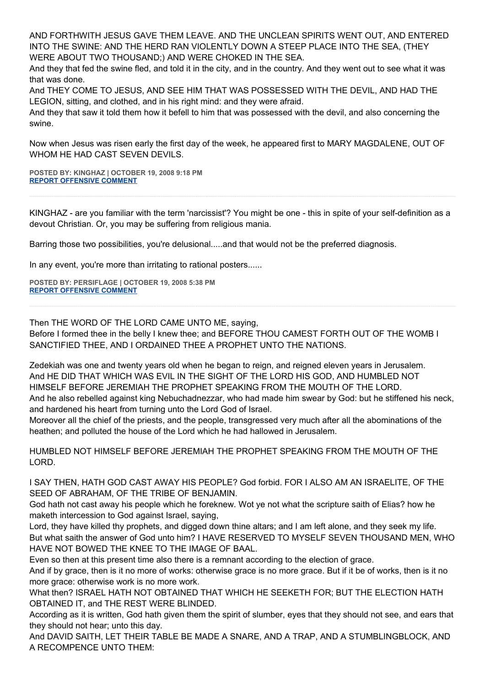AND FORTHWITH JESUS GAVE THEM LEAVE. AND THE UNCLEAN SPIRITS WENT OUT, AND ENTERED INTO THE SWINE: AND THE HERD RAN VIOLENTLY DOWN A STEEP PLACE INTO THE SEA, (THEY WERE ABOUT TWO THOUSAND;) AND WERE CHOKED IN THE SEA.

And they that fed the swine fled, and told it in the city, and in the country. And they went out to see what it was that was done.

And THEY COME TO JESUS, AND SEE HIM THAT WAS POSSESSED WITH THE DEVIL, AND HAD THE LEGION, sitting, and clothed, and in his right mind: and they were afraid.

And they that saw it told them how it befell to him that was possessed with the devil, and also concerning the swine.

Now when Jesus was risen early the first day of the week, he appeared first to MARY MAGDALENE, OUT OF WHOM HE HAD CAST SEVEN DEVILS.

**POSTED BY: KINGHAZ | OCTOBER 19, 2008 9:18 PM [REPORT OFFENSIVE COMMENT](mailto:blogs@washingtonpost.com?subject=On%20Faith%20Panelists%20Blog%20%20%7C%20%20kinghaz%20%20%7C%20%20The%20Economy%20and%20the%20Campaign:%20The%20Death%20of%20False%20Gods%20%20%7C%20%204553312&body=%0D%0D%0D%0D%0D================%0D?__mode=view%26_type=comment%26id=4553312%26blog_id=618)**

KINGHAZ - are you familiar with the term 'narcissist'? You might be one - this in spite of your self-definition as a devout Christian. Or, you may be suffering from religious mania.

Barring those two possibilities, you're delusional.....and that would not be the preferred diagnosis.

In any event, you're more than irritating to rational posters......

**POSTED BY: PERSIFLAGE | OCTOBER 19, 2008 5:38 PM [REPORT OFFENSIVE COMMENT](mailto:blogs@washingtonpost.com?subject=On%20Faith%20Panelists%20Blog%20%20%7C%20%20persiflage%20%20%7C%20%20The%20Economy%20and%20the%20Campaign:%20The%20Death%20of%20False%20Gods%20%20%7C%20%204553248&body=%0D%0D%0D%0D%0D================%0D?__mode=view%26_type=comment%26id=4553248%26blog_id=618)**

Then THE WORD OF THE LORD CAME UNTO ME, saying,

Before I formed thee in the belly I knew thee; and BEFORE THOU CAMEST FORTH OUT OF THE WOMB I SANCTIFIED THEE, AND I ORDAINED THEE A PROPHET UNTO THE NATIONS.

Zedekiah was one and twenty years old when he began to reign, and reigned eleven years in Jerusalem. And HE DID THAT WHICH WAS EVIL IN THE SIGHT OF THE LORD HIS GOD, AND HUMBLED NOT HIMSELF BEFORE JEREMIAH THE PROPHET SPEAKING FROM THE MOUTH OF THE LORD. And he also rebelled against king Nebuchadnezzar, who had made him swear by God: but he stiffened his neck,

and hardened his heart from turning unto the Lord God of Israel.

Moreover all the chief of the priests, and the people, transgressed very much after all the abominations of the heathen; and polluted the house of the Lord which he had hallowed in Jerusalem.

HUMBLED NOT HIMSELF BEFORE JEREMIAH THE PROPHET SPEAKING FROM THE MOUTH OF THE LORD.

I SAY THEN, HATH GOD CAST AWAY HIS PEOPLE? God forbid. FOR I ALSO AM AN ISRAELITE, OF THE SEED OF ABRAHAM, OF THE TRIBE OF BENJAMIN.

God hath not cast away his people which he foreknew. Wot ye not what the scripture saith of Elias? how he maketh intercession to God against Israel, saying,

Lord, they have killed thy prophets, and digged down thine altars; and I am left alone, and they seek my life. But what saith the answer of God unto him? I HAVE RESERVED TO MYSELF SEVEN THOUSAND MEN, WHO HAVE NOT BOWED THE KNEE TO THE IMAGE OF BAAL.

Even so then at this present time also there is a remnant according to the election of grace.

And if by grace, then is it no more of works: otherwise grace is no more grace. But if it be of works, then is it no more grace: otherwise work is no more work.

What then? ISRAEL HATH NOT OBTAINED THAT WHICH HE SEEKETH FOR; BUT THE ELECTION HATH OBTAINED IT, and THE REST WERE BLINDED.

According as it is written, God hath given them the spirit of slumber, eyes that they should not see, and ears that they should not hear; unto this day.

And DAVID SAITH, LET THEIR TABLE BE MADE A SNARE, AND A TRAP, AND A STUMBLINGBLOCK, AND A RECOMPENCE UNTO THEM: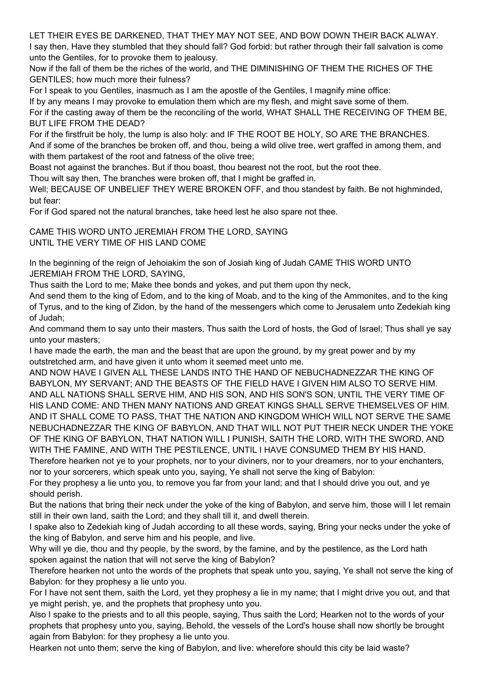LET THEIR EYES BE DARKENED, THAT THEY MAY NOT SEE, AND BOW DOWN THEIR BACK ALWAY. I say then, Have they stumbled that they should fall? God forbid: but rather through their fall salvation is come unto the Gentiles, for to provoke them to jealousy.

Now if the fall of them be the riches of the world, and THE DIMINISHING OF THEM THE RICHES OF THE GENTILES; how much more their fulness?

For I speak to you Gentiles, inasmuch as I am the apostle of the Gentiles, I magnify mine office:

If by any means I may provoke to emulation them which are my flesh, and might save some of them.

For if the casting away of them be the reconciling of the world, WHAT SHALL THE RECEIVING OF THEM BE, BUT LIFE FROM THE DEAD?

For if the firstfruit be holy, the lump is also holy: and IF THE ROOT BE HOLY, SO ARE THE BRANCHES. And if some of the branches be broken off, and thou, being a wild olive tree, wert graffed in among them, and with them partakest of the root and fatness of the olive tree;

Boast not against the branches. But if thou boast, thou bearest not the root, but the root thee.

Thou wilt say then, The branches were broken off, that I might be graffed in.

Well; BECAUSE OF UNBELIEF THEY WERE BROKEN OFF, and thou standest by faith. Be not highminded, but fear:

For if God spared not the natural branches, take heed lest he also spare not thee.

CAME THIS WORD UNTO JEREMIAH FROM THE LORD, SAYING UNTIL THE VERY TIME OF HIS LAND COME

In the beginning of the reign of Jehoiakim the son of Josiah king of Judah CAME THIS WORD UNTO JEREMIAH FROM THE LORD, SAYING,

Thus saith the Lord to me; Make thee bonds and yokes, and put them upon thy neck,

And send them to the king of Edom, and to the king of Moab, and to the king of the Ammonites, and to the king of Tyrus, and to the king of Zidon, by the hand of the messengers which come to Jerusalem unto Zedekiah king of Judah;

And command them to say unto their masters, Thus saith the Lord of hosts, the God of Israel; Thus shall ye say unto your masters;

I have made the earth, the man and the beast that are upon the ground, by my great power and by my outstretched arm, and have given it unto whom it seemed meet unto me.

AND NOW HAVE I GIVEN ALL THESE LANDS INTO THE HAND OF NEBUCHADNEZZAR THE KING OF BABYLON, MY SERVANT; AND THE BEASTS OF THE FIELD HAVE I GIVEN HIM ALSO TO SERVE HIM. AND ALL NATIONS SHALL SERVE HIM, AND HIS SON, AND HIS SON'S SON, UNTIL THE VERY TIME OF HIS LAND COME: AND THEN MANY NATIONS AND GREAT KINGS SHALL SERVE THEMSELVES OF HIM. AND IT SHALL COME TO PASS, THAT THE NATION AND KINGDOM WHICH WILL NOT SERVE THE SAME NEBUCHADNEZZAR THE KING OF BABYLON, AND THAT WILL NOT PUT THEIR NECK UNDER THE YOKE OF THE KING OF BABYLON, THAT NATION WILL I PUNISH, SAITH THE LORD, WITH THE SWORD, AND WITH THE FAMINE, AND WITH THE PESTILENCE, UNTIL I HAVE CONSUMED THEM BY HIS HAND. Therefore hearken not ye to your prophets, nor to your diviners, nor to your dreamers, nor to your enchanters,

nor to your sorcerers, which speak unto you, saying, Ye shall not serve the king of Babylon:

For they prophesy a lie unto you, to remove you far from your land; and that I should drive you out, and ye should perish.

But the nations that bring their neck under the yoke of the king of Babylon, and serve him, those will I let remain still in their own land, saith the Lord; and they shall till it, and dwell therein.

I spake also to Zedekiah king of Judah according to all these words, saying, Bring your necks under the yoke of the king of Babylon, and serve him and his people, and live.

Why will ye die, thou and thy people, by the sword, by the famine, and by the pestilence, as the Lord hath spoken against the nation that will not serve the king of Babylon?

Therefore hearken not unto the words of the prophets that speak unto you, saying, Ye shall not serve the king of Babylon: for they prophesy a lie unto you.

For I have not sent them, saith the Lord, yet they prophesy a lie in my name; that I might drive you out, and that ye might perish, ye, and the prophets that prophesy unto you.

Also I spake to the priests and to all this people, saying, Thus saith the Lord; Hearken not to the words of your prophets that prophesy unto you, saying, Behold, the vessels of the Lord's house shall now shortly be brought again from Babylon: for they prophesy a lie unto you.

Hearken not unto them; serve the king of Babylon, and live: wherefore should this city be laid waste?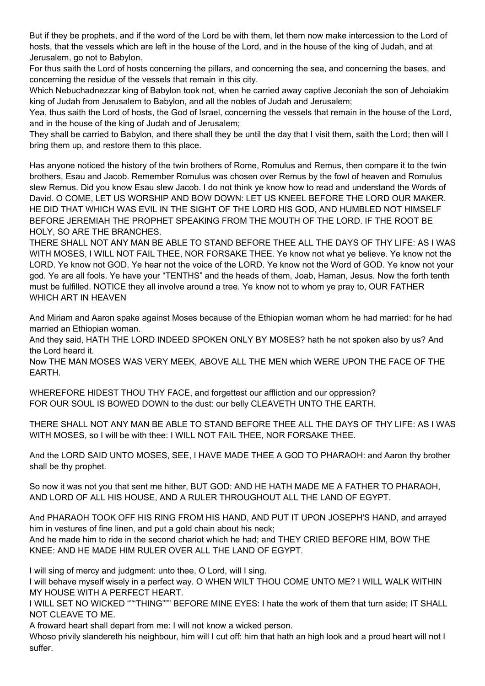But if they be prophets, and if the word of the Lord be with them, let them now make intercession to the Lord of hosts, that the vessels which are left in the house of the Lord, and in the house of the king of Judah, and at Jerusalem, go not to Babylon.

For thus saith the Lord of hosts concerning the pillars, and concerning the sea, and concerning the bases, and concerning the residue of the vessels that remain in this city.

Which Nebuchadnezzar king of Babylon took not, when he carried away captive Jeconiah the son of Jehoiakim king of Judah from Jerusalem to Babylon, and all the nobles of Judah and Jerusalem;

Yea, thus saith the Lord of hosts, the God of Israel, concerning the vessels that remain in the house of the Lord, and in the house of the king of Judah and of Jerusalem;

They shall be carried to Babylon, and there shall they be until the day that I visit them, saith the Lord; then will I bring them up, and restore them to this place.

Has anyone noticed the history of the twin brothers of Rome, Romulus and Remus, then compare it to the twin brothers, Esau and Jacob. Remember Romulus was chosen over Remus by the fowl of heaven and Romulus slew Remus. Did you know Esau slew Jacob. I do not think ye know how to read and understand the Words of David. O COME, LET US WORSHIP AND BOW DOWN: LET US KNEEL BEFORE THE LORD OUR MAKER. HE DID THAT WHICH WAS EVIL IN THE SIGHT OF THE LORD HIS GOD, AND HUMBLED NOT HIMSELF BEFORE JEREMIAH THE PROPHET SPEAKING FROM THE MOUTH OF THE LORD. IF THE ROOT BE HOLY, SO ARE THE BRANCHES.

THERE SHALL NOT ANY MAN BE ABLE TO STAND BEFORE THEE ALL THE DAYS OF THY LIFE: AS I WAS WITH MOSES, I WILL NOT FAIL THEE, NOR FORSAKE THEE. Ye know not what ye believe. Ye know not the LORD. Ye know not GOD. Ye hear not the voice of the LORD. Ye know not the Word of GOD. Ye know not your god. Ye are all fools. Ye have your "TENTHS" and the heads of them, Joab, Haman, Jesus. Now the forth tenth must be fulfilled. NOTICE they all involve around a tree. Ye know not to whom ye pray to, OUR FATHER WHICH ART IN HEAVEN

And Miriam and Aaron spake against Moses because of the Ethiopian woman whom he had married: for he had married an Ethiopian woman.

And they said, HATH THE LORD INDEED SPOKEN ONLY BY MOSES? hath he not spoken also by us? And the Lord heard it.

Now THE MAN MOSES WAS VERY MEEK, ABOVE ALL THE MEN which WERE UPON THE FACE OF THE EARTH.

WHEREFORE HIDEST THOU THY FACE, and forgettest our affliction and our oppression? FOR OUR SOUL IS BOWED DOWN to the dust: our belly CLEAVETH UNTO THE EARTH.

THERE SHALL NOT ANY MAN BE ABLE TO STAND BEFORE THEE ALL THE DAYS OF THY LIFE: AS I WAS WITH MOSES, so I will be with thee: I WILL NOT FAIL THEE, NOR FORSAKE THEE.

And the LORD SAID UNTO MOSES, SEE, I HAVE MADE THEE A GOD TO PHARAOH: and Aaron thy brother shall be thy prophet.

So now it was not you that sent me hither, BUT GOD: AND HE HATH MADE ME A FATHER TO PHARAOH, AND LORD OF ALL HIS HOUSE, AND A RULER THROUGHOUT ALL THE LAND OF EGYPT.

And PHARAOH TOOK OFF HIS RING FROM HIS HAND, AND PUT IT UPON JOSEPH'S HAND, and arrayed him in vestures of fine linen, and put a gold chain about his neck;

And he made him to ride in the second chariot which he had; and THEY CRIED BEFORE HIM, BOW THE KNEE: AND HE MADE HIM RULER OVER ALL THE LAND OF EGYPT.

I will sing of mercy and judgment: unto thee, O Lord, will I sing.

I will behave myself wisely in a perfect way. O WHEN WILT THOU COME UNTO ME? I WILL WALK WITHIN MY HOUSE WITH A PERFECT HEART.

I WILL SET NO WICKED """THING""" BEFORE MINE EYES: I hate the work of them that turn aside; IT SHALL NOT CLEAVE TO ME.

A froward heart shall depart from me: I will not know a wicked person.

Whoso privily slandereth his neighbour, him will I cut off: him that hath an high look and a proud heart will not I suffer.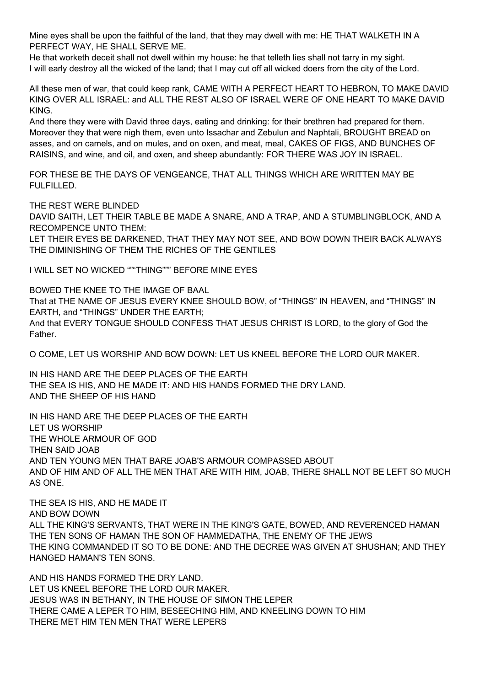Mine eyes shall be upon the faithful of the land, that they may dwell with me: HE THAT WALKETH IN A PERFECT WAY, HE SHALL SERVE ME.

He that worketh deceit shall not dwell within my house: he that telleth lies shall not tarry in my sight. I will early destroy all the wicked of the land; that I may cut off all wicked doers from the city of the Lord.

All these men of war, that could keep rank, CAME WITH A PERFECT HEART TO HEBRON, TO MAKE DAVID KING OVER ALL ISRAEL: and ALL THE REST ALSO OF ISRAEL WERE OF ONE HEART TO MAKE DAVID KING.

And there they were with David three days, eating and drinking: for their brethren had prepared for them. Moreover they that were nigh them, even unto Issachar and Zebulun and Naphtali, BROUGHT BREAD on asses, and on camels, and on mules, and on oxen, and meat, meal, CAKES OF FIGS, AND BUNCHES OF RAISINS, and wine, and oil, and oxen, and sheep abundantly: FOR THERE WAS JOY IN ISRAEL.

FOR THESE BE THE DAYS OF VENGEANCE, THAT ALL THINGS WHICH ARE WRITTEN MAY BE FULFILLED.

THE REST WERE BLINDED

DAVID SAITH, LET THEIR TABLE BE MADE A SNARE, AND A TRAP, AND A STUMBLINGBLOCK, AND A RECOMPENCE UNTO THEM:

LET THEIR EYES BE DARKENED, THAT THEY MAY NOT SEE, AND BOW DOWN THEIR BACK ALWAYS THE DIMINISHING OF THEM THE RICHES OF THE GENTILES

I WILL SET NO WICKED """THING""" BEFORE MINE EYES

BOWED THE KNEE TO THE IMAGE OF BAAL

That at THE NAME OF JESUS EVERY KNEE SHOULD BOW, of "THINGS" IN HEAVEN, and "THINGS" IN EARTH, and "THINGS" UNDER THE EARTH;

And that EVERY TONGUE SHOULD CONFESS THAT JESUS CHRIST IS LORD, to the glory of God the Father.

O COME, LET US WORSHIP AND BOW DOWN: LET US KNEEL BEFORE THE LORD OUR MAKER.

IN HIS HAND ARE THE DEEP PLACES OF THE EARTH THE SEA IS HIS, AND HE MADE IT: AND HIS HANDS FORMED THE DRY LAND. AND THE SHEEP OF HIS HAND

IN HIS HAND ARE THE DEEP PLACES OF THE EARTH LET US WORSHIP THE WHOLE ARMOUR OF GOD THEN SAID JOAB AND TEN YOUNG MEN THAT BARE JOAB'S ARMOUR COMPASSED ABOUT AND OF HIM AND OF ALL THE MEN THAT ARE WITH HIM, JOAB, THERE SHALL NOT BE LEFT SO MUCH AS ONE.

THE SEA IS HIS, AND HE MADE IT AND BOW DOWN ALL THE KING'S SERVANTS, THAT WERE IN THE KING'S GATE, BOWED, AND REVERENCED HAMAN THE TEN SONS OF HAMAN THE SON OF HAMMEDATHA, THE ENEMY OF THE JEWS THE KING COMMANDED IT SO TO BE DONE: AND THE DECREE WAS GIVEN AT SHUSHAN; AND THEY HANGED HAMAN'S TEN SONS.

AND HIS HANDS FORMED THE DRY LAND. LET US KNEEL BEFORE THE LORD OUR MAKER. JESUS WAS IN BETHANY, IN THE HOUSE OF SIMON THE LEPER THERE CAME A LEPER TO HIM, BESEECHING HIM, AND KNEELING DOWN TO HIM THERE MET HIM TEN MEN THAT WERE LEPERS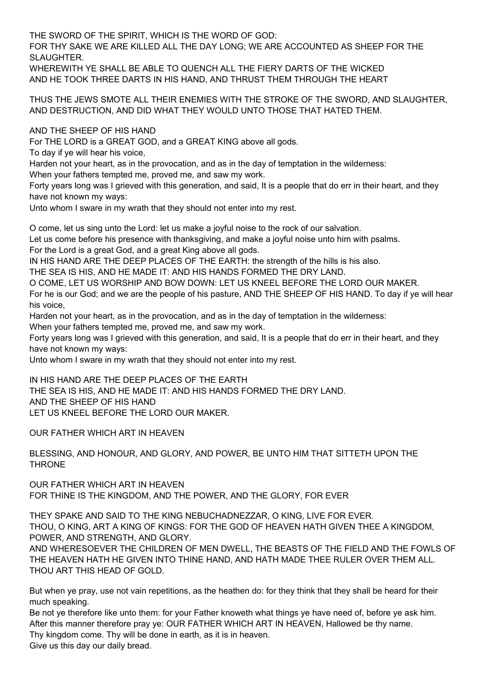THE SWORD OF THE SPIRIT, WHICH IS THE WORD OF GOD:

FOR THY SAKE WE ARE KILLED ALL THE DAY LONG; WE ARE ACCOUNTED AS SHEEP FOR THE SLAUGHTER.

WHEREWITH YE SHALL BE ABLE TO QUENCH ALL THE FIERY DARTS OF THE WICKED AND HE TOOK THREE DARTS IN HIS HAND, AND THRUST THEM THROUGH THE HEART

THUS THE JEWS SMOTE ALL THEIR ENEMIES WITH THE STROKE OF THE SWORD, AND SLAUGHTER, AND DESTRUCTION, AND DID WHAT THEY WOULD UNTO THOSE THAT HATED THEM.

AND THE SHEEP OF HIS HAND

For THE LORD is a GREAT GOD, and a GREAT KING above all gods.

To day if ye will hear his voice,

Harden not your heart, as in the provocation, and as in the day of temptation in the wilderness:

When your fathers tempted me, proved me, and saw my work.

Forty years long was I grieved with this generation, and said, It is a people that do err in their heart, and they have not known my ways:

Unto whom I sware in my wrath that they should not enter into my rest.

O come, let us sing unto the Lord: let us make a joyful noise to the rock of our salvation.

Let us come before his presence with thanksgiving, and make a joyful noise unto him with psalms.

For the Lord is a great God, and a great King above all gods.

IN HIS HAND ARE THE DEEP PLACES OF THE EARTH: the strength of the hills is his also.

THE SEA IS HIS, AND HE MADE IT: AND HIS HANDS FORMED THE DRY LAND.

O COME, LET US WORSHIP AND BOW DOWN: LET US KNEEL BEFORE THE LORD OUR MAKER.

For he is our God; and we are the people of his pasture, AND THE SHEEP OF HIS HAND. To day if ye will hear his voice,

Harden not your heart, as in the provocation, and as in the day of temptation in the wilderness:

When your fathers tempted me, proved me, and saw my work.

Forty years long was I grieved with this generation, and said, It is a people that do err in their heart, and they have not known my ways:

Unto whom I sware in my wrath that they should not enter into my rest.

IN HIS HAND ARE THE DEEP PLACES OF THE EARTH THE SEA IS HIS, AND HE MADE IT: AND HIS HANDS FORMED THE DRY LAND. AND THE SHEEP OF HIS HAND LET US KNEEL BEFORE THE LORD OUR MAKER.

OUR FATHER WHICH ART IN HEAVEN

BLESSING, AND HONOUR, AND GLORY, AND POWER, BE UNTO HIM THAT SITTETH UPON THE THRONE

OUR FATHER WHICH ART IN HEAVEN FOR THINE IS THE KINGDOM, AND THE POWER, AND THE GLORY, FOR EVER

THEY SPAKE AND SAID TO THE KING NEBUCHADNEZZAR, O KING, LIVE FOR EVER. THOU, O KING, ART A KING OF KINGS: FOR THE GOD OF HEAVEN HATH GIVEN THEE A KINGDOM, POWER, AND STRENGTH, AND GLORY.

AND WHERESOEVER THE CHILDREN OF MEN DWELL, THE BEASTS OF THE FIELD AND THE FOWLS OF THE HEAVEN HATH HE GIVEN INTO THINE HAND, AND HATH MADE THEE RULER OVER THEM ALL. THOU ART THIS HEAD OF GOLD.

But when ye pray, use not vain repetitions, as the heathen do: for they think that they shall be heard for their much speaking.

Be not ye therefore like unto them: for your Father knoweth what things ye have need of, before ye ask him. After this manner therefore pray ye: OUR FATHER WHICH ART IN HEAVEN, Hallowed be thy name. Thy kingdom come. Thy will be done in earth, as it is in heaven. Give us this day our daily bread.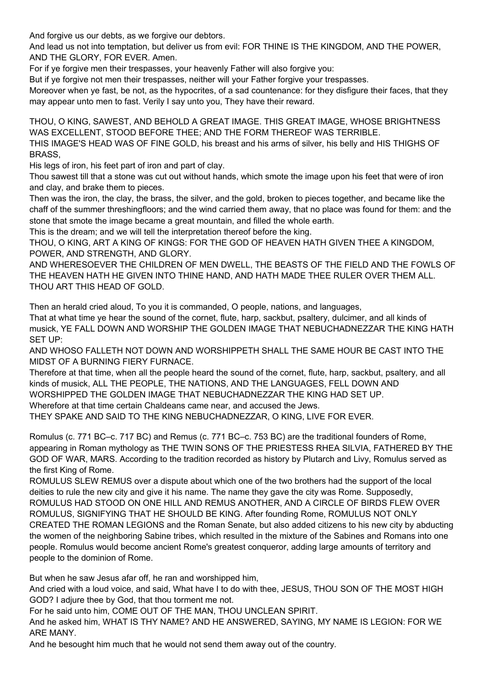And forgive us our debts, as we forgive our debtors.

And lead us not into temptation, but deliver us from evil: FOR THINE IS THE KINGDOM, AND THE POWER, AND THE GLORY, FOR EVER. Amen.

For if ye forgive men their trespasses, your heavenly Father will also forgive you:

But if ye forgive not men their trespasses, neither will your Father forgive your trespasses.

Moreover when ye fast, be not, as the hypocrites, of a sad countenance: for they disfigure their faces, that they may appear unto men to fast. Verily I say unto you, They have their reward.

THOU, O KING, SAWEST, AND BEHOLD A GREAT IMAGE. THIS GREAT IMAGE, WHOSE BRIGHTNESS WAS EXCELLENT, STOOD BEFORE THEE; AND THE FORM THEREOF WAS TERRIBLE.

THIS IMAGE'S HEAD WAS OF FINE GOLD, his breast and his arms of silver, his belly and HIS THIGHS OF BRASS,

His legs of iron, his feet part of iron and part of clay.

Thou sawest till that a stone was cut out without hands, which smote the image upon his feet that were of iron and clay, and brake them to pieces.

Then was the iron, the clay, the brass, the silver, and the gold, broken to pieces together, and became like the chaff of the summer threshingfloors; and the wind carried them away, that no place was found for them: and the stone that smote the image became a great mountain, and filled the whole earth.

This is the dream; and we will tell the interpretation thereof before the king.

THOU, O KING, ART A KING OF KINGS: FOR THE GOD OF HEAVEN HATH GIVEN THEE A KINGDOM, POWER, AND STRENGTH, AND GLORY.

AND WHERESOEVER THE CHILDREN OF MEN DWELL, THE BEASTS OF THE FIELD AND THE FOWLS OF THE HEAVEN HATH HE GIVEN INTO THINE HAND, AND HATH MADE THEE RULER OVER THEM ALL. THOU ART THIS HEAD OF GOLD.

Then an herald cried aloud, To you it is commanded, O people, nations, and languages,

That at what time ye hear the sound of the cornet, flute, harp, sackbut, psaltery, dulcimer, and all kinds of musick, YE FALL DOWN AND WORSHIP THE GOLDEN IMAGE THAT NEBUCHADNEZZAR THE KING HATH SET UP:

AND WHOSO FALLETH NOT DOWN AND WORSHIPPETH SHALL THE SAME HOUR BE CAST INTO THE MIDST OF A BURNING FIERY FURNACE.

Therefore at that time, when all the people heard the sound of the cornet, flute, harp, sackbut, psaltery, and all kinds of musick, ALL THE PEOPLE, THE NATIONS, AND THE LANGUAGES, FELL DOWN AND WORSHIPPED THE GOLDEN IMAGE THAT NEBUCHADNEZZAR THE KING HAD SET UP. Wherefore at that time certain Chaldeans came near, and accused the Jews.

THEY SPAKE AND SAID TO THE KING NEBUCHADNEZZAR, O KING, LIVE FOR EVER.

Romulus (c. 771 BC–c. 717 BC) and Remus (c. 771 BC–c. 753 BC) are the traditional founders of Rome, appearing in Roman mythology as THE TWIN SONS OF THE PRIESTESS RHEA SILVIA, FATHERED BY THE GOD OF WAR, MARS. According to the tradition recorded as history by Plutarch and Livy, Romulus served as the first King of Rome.

ROMULUS SLEW REMUS over a dispute about which one of the two brothers had the support of the local deities to rule the new city and give it his name. The name they gave the city was Rome. Supposedly, ROMULUS HAD STOOD ON ONE HILL AND REMUS ANOTHER, AND A CIRCLE OF BIRDS FLEW OVER ROMULUS, SIGNIFYING THAT HE SHOULD BE KING. After founding Rome, ROMULUS NOT ONLY CREATED THE ROMAN LEGIONS and the Roman Senate, but also added citizens to his new city by abducting the women of the neighboring Sabine tribes, which resulted in the mixture of the Sabines and Romans into one people. Romulus would become ancient Rome's greatest conqueror, adding large amounts of territory and people to the dominion of Rome.

But when he saw Jesus afar off, he ran and worshipped him,

And cried with a loud voice, and said, What have I to do with thee, JESUS, THOU SON OF THE MOST HIGH GOD? I adjure thee by God, that thou torment me not.

For he said unto him, COME OUT OF THE MAN, THOU UNCLEAN SPIRIT.

And he asked him, WHAT IS THY NAME? AND HE ANSWERED, SAYING, MY NAME IS LEGION: FOR WE ARE MANY.

And he besought him much that he would not send them away out of the country.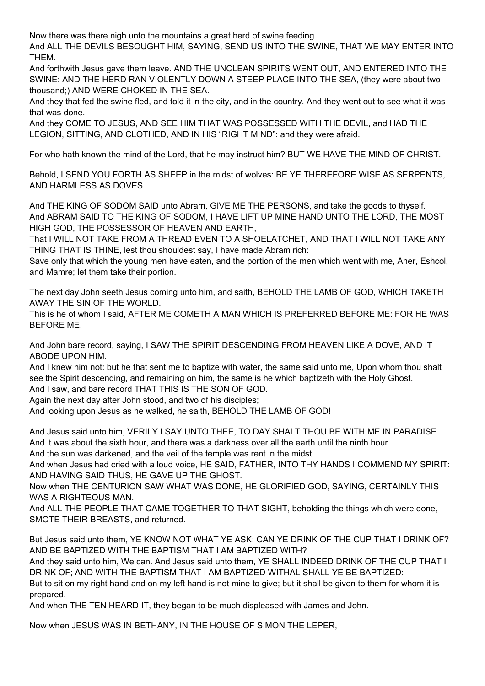Now there was there nigh unto the mountains a great herd of swine feeding.

And ALL THE DEVILS BESOUGHT HIM, SAYING, SEND US INTO THE SWINE, THAT WE MAY ENTER INTO THEM.

And forthwith Jesus gave them leave. AND THE UNCLEAN SPIRITS WENT OUT, AND ENTERED INTO THE SWINE: AND THE HERD RAN VIOLENTLY DOWN A STEEP PLACE INTO THE SEA, (they were about two thousand;) AND WERE CHOKED IN THE SEA.

And they that fed the swine fled, and told it in the city, and in the country. And they went out to see what it was that was done.

And they COME TO JESUS, AND SEE HIM THAT WAS POSSESSED WITH THE DEVIL, and HAD THE LEGION, SITTING, AND CLOTHED, AND IN HIS "RIGHT MIND": and they were afraid.

For who hath known the mind of the Lord, that he may instruct him? BUT WE HAVE THE MIND OF CHRIST.

Behold, I SEND YOU FORTH AS SHEEP in the midst of wolves: BE YE THEREFORE WISE AS SERPENTS, AND HARMLESS AS DOVES.

And THE KING OF SODOM SAID unto Abram, GIVE ME THE PERSONS, and take the goods to thyself. And ABRAM SAID TO THE KING OF SODOM, I HAVE LIFT UP MINE HAND UNTO THE LORD, THE MOST HIGH GOD, THE POSSESSOR OF HEAVEN AND EARTH,

That I WILL NOT TAKE FROM A THREAD EVEN TO A SHOELATCHET, AND THAT I WILL NOT TAKE ANY THING THAT IS THINE, lest thou shouldest say, I have made Abram rich:

Save only that which the young men have eaten, and the portion of the men which went with me, Aner, Eshcol, and Mamre; let them take their portion.

The next day John seeth Jesus coming unto him, and saith, BEHOLD THE LAMB OF GOD, WHICH TAKETH AWAY THE SIN OF THE WORLD.

This is he of whom I said, AFTER ME COMETH A MAN WHICH IS PREFERRED BEFORE ME: FOR HE WAS BEFORE ME.

And John bare record, saying, I SAW THE SPIRIT DESCENDING FROM HEAVEN LIKE A DOVE, AND IT ABODE UPON HIM.

And I knew him not: but he that sent me to baptize with water, the same said unto me, Upon whom thou shalt see the Spirit descending, and remaining on him, the same is he which baptizeth with the Holy Ghost. And I saw, and bare record THAT THIS IS THE SON OF GOD.

Again the next day after John stood, and two of his disciples;

And looking upon Jesus as he walked, he saith, BEHOLD THE LAMB OF GOD!

And Jesus said unto him, VERILY I SAY UNTO THEE, TO DAY SHALT THOU BE WITH ME IN PARADISE. And it was about the sixth hour, and there was a darkness over all the earth until the ninth hour.

And the sun was darkened, and the veil of the temple was rent in the midst.

And when Jesus had cried with a loud voice, HE SAID, FATHER, INTO THY HANDS I COMMEND MY SPIRIT: AND HAVING SAID THUS, HE GAVE UP THE GHOST.

Now when THE CENTURION SAW WHAT WAS DONE, HE GLORIFIED GOD, SAYING, CERTAINLY THIS WAS A RIGHTEOUS MAN.

And ALL THE PEOPLE THAT CAME TOGETHER TO THAT SIGHT, beholding the things which were done, SMOTE THEIR BREASTS, and returned.

But Jesus said unto them, YE KNOW NOT WHAT YE ASK: CAN YE DRINK OF THE CUP THAT I DRINK OF? AND BE BAPTIZED WITH THE BAPTISM THAT I AM BAPTIZED WITH?

And they said unto him, We can. And Jesus said unto them, YE SHALL INDEED DRINK OF THE CUP THAT I DRINK OF; AND WITH THE BAPTISM THAT I AM BAPTIZED WITHAL SHALL YE BE BAPTIZED:

But to sit on my right hand and on my left hand is not mine to give; but it shall be given to them for whom it is prepared.

And when THE TEN HEARD IT, they began to be much displeased with James and John.

Now when JESUS WAS IN BETHANY, IN THE HOUSE OF SIMON THE LEPER,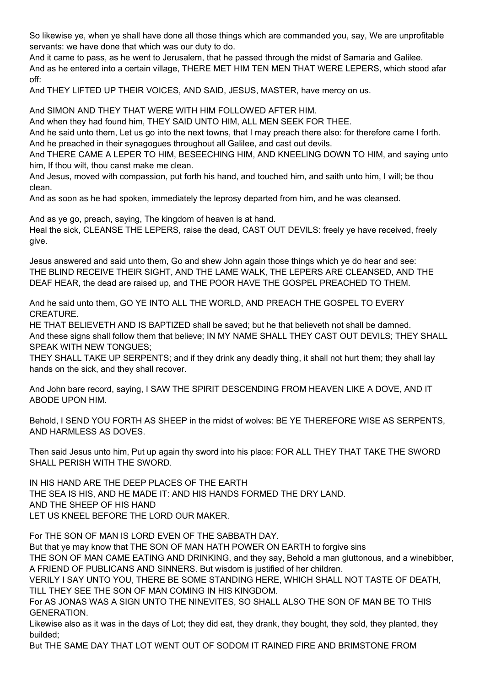So likewise ye, when ye shall have done all those things which are commanded you, say, We are unprofitable servants: we have done that which was our duty to do.

And it came to pass, as he went to Jerusalem, that he passed through the midst of Samaria and Galilee. And as he entered into a certain village, THERE MET HIM TEN MEN THAT WERE LEPERS, which stood afar off:

And THEY LIFTED UP THEIR VOICES, AND SAID, JESUS, MASTER, have mercy on us.

And SIMON AND THEY THAT WERE WITH HIM FOLLOWED AFTER HIM.

And when they had found him, THEY SAID UNTO HIM, ALL MEN SEEK FOR THEE.

And he said unto them, Let us go into the next towns, that I may preach there also: for therefore came I forth. And he preached in their synagogues throughout all Galilee, and cast out devils.

And THERE CAME A LEPER TO HIM, BESEECHING HIM, AND KNEELING DOWN TO HIM, and saying unto him, If thou wilt, thou canst make me clean.

And Jesus, moved with compassion, put forth his hand, and touched him, and saith unto him, I will; be thou clean.

And as soon as he had spoken, immediately the leprosy departed from him, and he was cleansed.

And as ye go, preach, saying, The kingdom of heaven is at hand. Heal the sick, CLEANSE THE LEPERS, raise the dead, CAST OUT DEVILS: freely ye have received, freely give.

Jesus answered and said unto them, Go and shew John again those things which ye do hear and see: THE BLIND RECEIVE THEIR SIGHT, AND THE LAME WALK, THE LEPERS ARE CLEANSED, AND THE DEAF HEAR, the dead are raised up, and THE POOR HAVE THE GOSPEL PREACHED TO THEM.

And he said unto them, GO YE INTO ALL THE WORLD, AND PREACH THE GOSPEL TO EVERY CREATURE.

HE THAT BELIEVETH AND IS BAPTIZED shall be saved; but he that believeth not shall be damned. And these signs shall follow them that believe; IN MY NAME SHALL THEY CAST OUT DEVILS; THEY SHALL SPEAK WITH NEW TONGUES;

THEY SHALL TAKE UP SERPENTS; and if they drink any deadly thing, it shall not hurt them; they shall lay hands on the sick, and they shall recover.

And John bare record, saying, I SAW THE SPIRIT DESCENDING FROM HEAVEN LIKE A DOVE, AND IT ABODE UPON HIM.

Behold, I SEND YOU FORTH AS SHEEP in the midst of wolves: BE YE THEREFORE WISE AS SERPENTS, AND HARMLESS AS DOVES.

Then said Jesus unto him, Put up again thy sword into his place: FOR ALL THEY THAT TAKE THE SWORD SHALL PERISH WITH THE SWORD.

IN HIS HAND ARE THE DEEP PLACES OF THE EARTH THE SEA IS HIS, AND HE MADE IT: AND HIS HANDS FORMED THE DRY LAND. AND THE SHEEP OF HIS HAND LET US KNEEL BEFORE THE LORD OUR MAKER.

For THE SON OF MAN IS LORD EVEN OF THE SABBATH DAY.

But that ye may know that THE SON OF MAN HATH POWER ON EARTH to forgive sins

THE SON OF MAN CAME EATING AND DRINKING, and they say, Behold a man gluttonous, and a winebibber, A FRIEND OF PUBLICANS AND SINNERS. But wisdom is justified of her children.

VERILY I SAY UNTO YOU, THERE BE SOME STANDING HERE, WHICH SHALL NOT TASTE OF DEATH, TILL THEY SEE THE SON OF MAN COMING IN HIS KINGDOM.

For AS JONAS WAS A SIGN UNTO THE NINEVITES, SO SHALL ALSO THE SON OF MAN BE TO THIS GENERATION.

Likewise also as it was in the days of Lot; they did eat, they drank, they bought, they sold, they planted, they builded;

But THE SAME DAY THAT LOT WENT OUT OF SODOM IT RAINED FIRE AND BRIMSTONE FROM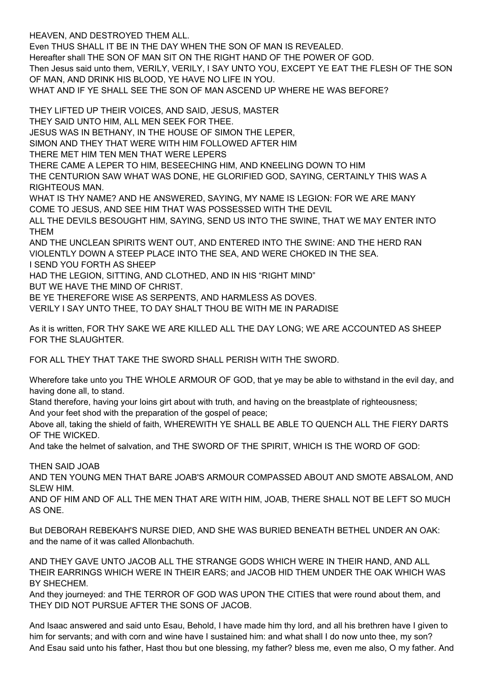HEAVEN, AND DESTROYED THEM ALL.

Even THUS SHALL IT BE IN THE DAY WHEN THE SON OF MAN IS REVEALED.

Hereafter shall THE SON OF MAN SIT ON THE RIGHT HAND OF THE POWER OF GOD.

Then Jesus said unto them, VERILY, VERILY, I SAY UNTO YOU, EXCEPT YE EAT THE FLESH OF THE SON OF MAN, AND DRINK HIS BLOOD, YE HAVE NO LIFE IN YOU.

WHAT AND IF YE SHALL SEE THE SON OF MAN ASCEND UP WHERE HE WAS BEFORE?

THEY LIFTED UP THEIR VOICES, AND SAID, JESUS, MASTER THEY SAID UNTO HIM, ALL MEN SEEK FOR THEE. JESUS WAS IN BETHANY, IN THE HOUSE OF SIMON THE LEPER, SIMON AND THEY THAT WERE WITH HIM FOLLOWED AFTER HIM THERE MET HIM TEN MEN THAT WERE LEPERS THERE CAME A LEPER TO HIM, BESEECHING HIM, AND KNEELING DOWN TO HIM THE CENTURION SAW WHAT WAS DONE, HE GLORIFIED GOD, SAYING, CERTAINLY THIS WAS A RIGHTEOUS MAN. WHAT IS THY NAME? AND HE ANSWERED, SAYING, MY NAME IS LEGION: FOR WE ARE MANY COME TO JESUS, AND SEE HIM THAT WAS POSSESSED WITH THE DEVIL ALL THE DEVILS BESOUGHT HIM, SAYING, SEND US INTO THE SWINE, THAT WE MAY ENTER INTO THEM AND THE UNCLEAN SPIRITS WENT OUT, AND ENTERED INTO THE SWINE: AND THE HERD RAN VIOLENTLY DOWN A STEEP PLACE INTO THE SEA, AND WERE CHOKED IN THE SEA. I SEND YOU FORTH AS SHEEP HAD THE LEGION, SITTING, AND CLOTHED, AND IN HIS "RIGHT MIND" BUT WE HAVE THE MIND OF CHRIST.

BE YE THEREFORE WISE AS SERPENTS, AND HARMLESS AS DOVES.

VERILY I SAY UNTO THEE, TO DAY SHALT THOU BE WITH ME IN PARADISE

As it is written, FOR THY SAKE WE ARE KILLED ALL THE DAY LONG; WE ARE ACCOUNTED AS SHEEP FOR THE SLAUGHTER.

FOR ALL THEY THAT TAKE THE SWORD SHALL PERISH WITH THE SWORD.

Wherefore take unto you THE WHOLE ARMOUR OF GOD, that ye may be able to withstand in the evil day, and having done all, to stand.

Stand therefore, having your loins girt about with truth, and having on the breastplate of righteousness;

And your feet shod with the preparation of the gospel of peace;

Above all, taking the shield of faith, WHEREWITH YE SHALL BE ABLE TO QUENCH ALL THE FIERY DARTS OF THE WICKED.

And take the helmet of salvation, and THE SWORD OF THE SPIRIT, WHICH IS THE WORD OF GOD:

THEN SAID JOAB

AND TEN YOUNG MEN THAT BARE JOAB'S ARMOUR COMPASSED ABOUT AND SMOTE ABSALOM, AND SI FW HIM.

AND OF HIM AND OF ALL THE MEN THAT ARE WITH HIM, JOAB, THERE SHALL NOT BE LEFT SO MUCH AS ONE.

But DEBORAH REBEKAH'S NURSE DIED, AND SHE WAS BURIED BENEATH BETHEL UNDER AN OAK: and the name of it was called Allonbachuth.

AND THEY GAVE UNTO JACOB ALL THE STRANGE GODS WHICH WERE IN THEIR HAND, AND ALL THEIR EARRINGS WHICH WERE IN THEIR EARS; and JACOB HID THEM UNDER THE OAK WHICH WAS BY SHECHEM.

And they journeyed: and THE TERROR OF GOD WAS UPON THE CITIES that were round about them, and THEY DID NOT PURSUE AFTER THE SONS OF JACOB.

And Isaac answered and said unto Esau, Behold, I have made him thy lord, and all his brethren have I given to him for servants; and with corn and wine have I sustained him: and what shall I do now unto thee, my son? And Esau said unto his father, Hast thou but one blessing, my father? bless me, even me also, O my father. And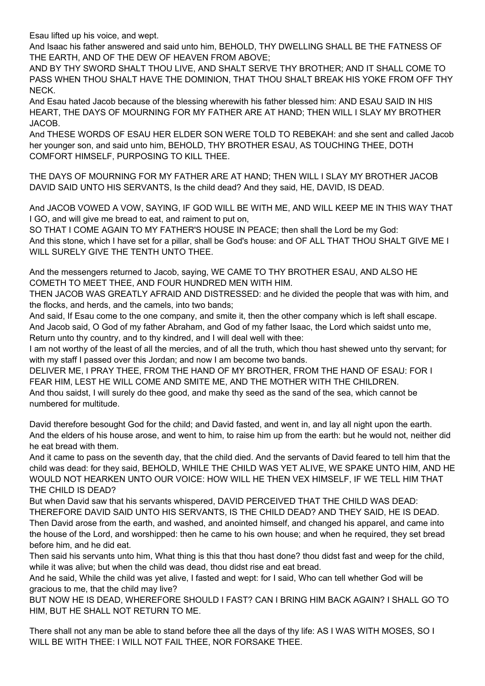Esau lifted up his voice, and wept.

And Isaac his father answered and said unto him, BEHOLD, THY DWELLING SHALL BE THE FATNESS OF THE EARTH, AND OF THE DEW OF HEAVEN FROM ABOVE;

AND BY THY SWORD SHALT THOU LIVE, AND SHALT SERVE THY BROTHER; AND IT SHALL COME TO PASS WHEN THOU SHALT HAVE THE DOMINION, THAT THOU SHALT BREAK HIS YOKE FROM OFF THY NECK.

And Esau hated Jacob because of the blessing wherewith his father blessed him: AND ESAU SAID IN HIS HEART, THE DAYS OF MOURNING FOR MY FATHER ARE AT HAND; THEN WILL I SLAY MY BROTHER JACOB.

And THESE WORDS OF ESAU HER ELDER SON WERE TOLD TO REBEKAH: and she sent and called Jacob her younger son, and said unto him, BEHOLD, THY BROTHER ESAU, AS TOUCHING THEE, DOTH COMFORT HIMSELF, PURPOSING TO KILL THEE.

THE DAYS OF MOURNING FOR MY FATHER ARE AT HAND; THEN WILL I SLAY MY BROTHER JACOB DAVID SAID UNTO HIS SERVANTS, Is the child dead? And they said, HE, DAVID, IS DEAD.

And JACOB VOWED A VOW, SAYING, IF GOD WILL BE WITH ME, AND WILL KEEP ME IN THIS WAY THAT I GO, and will give me bread to eat, and raiment to put on,

SO THAT I COME AGAIN TO MY FATHER'S HOUSE IN PEACE; then shall the Lord be my God: And this stone, which I have set for a pillar, shall be God's house: and OF ALL THAT THOU SHALT GIVE ME I WILL SURELY GIVE THE TENTH UNTO THEE.

And the messengers returned to Jacob, saying, WE CAME TO THY BROTHER ESAU, AND ALSO HE COMETH TO MEET THEE, AND FOUR HUNDRED MEN WITH HIM.

THEN JACOB WAS GREATLY AFRAID AND DISTRESSED: and he divided the people that was with him, and the flocks, and herds, and the camels, into two bands;

And said, If Esau come to the one company, and smite it, then the other company which is left shall escape. And Jacob said, O God of my father Abraham, and God of my father Isaac, the Lord which saidst unto me, Return unto thy country, and to thy kindred, and I will deal well with thee:

I am not worthy of the least of all the mercies, and of all the truth, which thou hast shewed unto thy servant; for with my staff I passed over this Jordan; and now I am become two bands.

DELIVER ME, I PRAY THEE, FROM THE HAND OF MY BROTHER, FROM THE HAND OF ESAU: FOR I FEAR HIM, LEST HE WILL COME AND SMITE ME, AND THE MOTHER WITH THE CHILDREN. And thou saidst, I will surely do thee good, and make thy seed as the sand of the sea, which cannot be numbered for multitude.

David therefore besought God for the child; and David fasted, and went in, and lay all night upon the earth. And the elders of his house arose, and went to him, to raise him up from the earth: but he would not, neither did he eat bread with them.

And it came to pass on the seventh day, that the child died. And the servants of David feared to tell him that the child was dead: for they said, BEHOLD, WHILE THE CHILD WAS YET ALIVE, WE SPAKE UNTO HIM, AND HE WOULD NOT HEARKEN UNTO OUR VOICE: HOW WILL HE THEN VEX HIMSELF, IF WE TELL HIM THAT THE CHILD IS DEAD?

But when David saw that his servants whispered, DAVID PERCEIVED THAT THE CHILD WAS DEAD: THEREFORE DAVID SAID UNTO HIS SERVANTS, IS THE CHILD DEAD? AND THEY SAID, HE IS DEAD. Then David arose from the earth, and washed, and anointed himself, and changed his apparel, and came into the house of the Lord, and worshipped: then he came to his own house; and when he required, they set bread before him, and he did eat.

Then said his servants unto him, What thing is this that thou hast done? thou didst fast and weep for the child, while it was alive; but when the child was dead, thou didst rise and eat bread.

And he said, While the child was yet alive, I fasted and wept: for I said, Who can tell whether God will be gracious to me, that the child may live?

BUT NOW HE IS DEAD, WHEREFORE SHOULD I FAST? CAN I BRING HIM BACK AGAIN? I SHALL GO TO HIM, BUT HE SHALL NOT RETURN TO ME.

There shall not any man be able to stand before thee all the days of thy life: AS I WAS WITH MOSES, SO I WILL BE WITH THEE: I WILL NOT FAIL THEE, NOR FORSAKE THEE.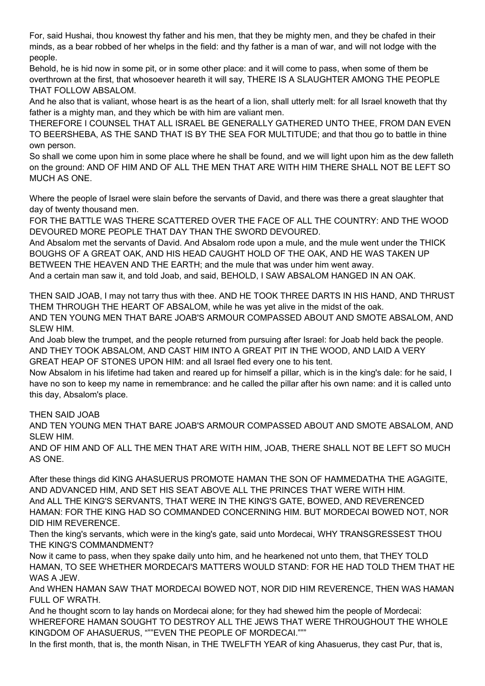For, said Hushai, thou knowest thy father and his men, that they be mighty men, and they be chafed in their minds, as a bear robbed of her whelps in the field: and thy father is a man of war, and will not lodge with the people.

Behold, he is hid now in some pit, or in some other place: and it will come to pass, when some of them be overthrown at the first, that whosoever heareth it will say, THERE IS A SLAUGHTER AMONG THE PEOPLE THAT FOLLOW ABSALOM.

And he also that is valiant, whose heart is as the heart of a lion, shall utterly melt: for all Israel knoweth that thy father is a mighty man, and they which be with him are valiant men.

THEREFORE I COUNSEL THAT ALL ISRAEL BE GENERALLY GATHERED UNTO THEE, FROM DAN EVEN TO BEERSHEBA, AS THE SAND THAT IS BY THE SEA FOR MULTITUDE; and that thou go to battle in thine own person.

So shall we come upon him in some place where he shall be found, and we will light upon him as the dew falleth on the ground: AND OF HIM AND OF ALL THE MEN THAT ARE WITH HIM THERE SHALL NOT BE LEFT SO MUCH AS ONE.

Where the people of Israel were slain before the servants of David, and there was there a great slaughter that day of twenty thousand men.

FOR THE BATTLE WAS THERE SCATTERED OVER THE FACE OF ALL THE COUNTRY: AND THE WOOD DEVOURED MORE PEOPLE THAT DAY THAN THE SWORD DEVOURED.

And Absalom met the servants of David. And Absalom rode upon a mule, and the mule went under the THICK BOUGHS OF A GREAT OAK, AND HIS HEAD CAUGHT HOLD OF THE OAK, AND HE WAS TAKEN UP BETWEEN THE HEAVEN AND THE EARTH; and the mule that was under him went away. And a certain man saw it, and told Joab, and said, BEHOLD, I SAW ABSALOM HANGED IN AN OAK.

THEN SAID JOAB, I may not tarry thus with thee. AND HE TOOK THREE DARTS IN HIS HAND, AND THRUST THEM THROUGH THE HEART OF ABSALOM, while he was yet alive in the midst of the oak. AND TEN YOUNG MEN THAT BARE JOAB'S ARMOUR COMPASSED ABOUT AND SMOTE ABSALOM, AND

SLEW HIM. And Joab blew the trumpet, and the people returned from pursuing after Israel: for Joab held back the people.

AND THEY TOOK ABSALOM, AND CAST HIM INTO A GREAT PIT IN THE WOOD, AND LAID A VERY GREAT HEAP OF STONES UPON HIM: and all Israel fled every one to his tent.

Now Absalom in his lifetime had taken and reared up for himself a pillar, which is in the king's dale: for he said, I have no son to keep my name in remembrance: and he called the pillar after his own name: and it is called unto this day, Absalom's place.

THEN SAID JOAB

AND TEN YOUNG MEN THAT BARE JOAB'S ARMOUR COMPASSED ABOUT AND SMOTE ABSALOM, AND SLEW HIM.

AND OF HIM AND OF ALL THE MEN THAT ARE WITH HIM, JOAB, THERE SHALL NOT BE LEFT SO MUCH AS ONE.

After these things did KING AHASUERUS PROMOTE HAMAN THE SON OF HAMMEDATHA THE AGAGITE, AND ADVANCED HIM, AND SET HIS SEAT ABOVE ALL THE PRINCES THAT WERE WITH HIM. And ALL THE KING'S SERVANTS, THAT WERE IN THE KING'S GATE, BOWED, AND REVERENCED HAMAN: FOR THE KING HAD SO COMMANDED CONCERNING HIM. BUT MORDECAI BOWED NOT, NOR DID HIM REVERENCE.

Then the king's servants, which were in the king's gate, said unto Mordecai, WHY TRANSGRESSEST THOU THE KING'S COMMANDMENT?

Now it came to pass, when they spake daily unto him, and he hearkened not unto them, that THEY TOLD HAMAN, TO SEE WHETHER MORDECAI'S MATTERS WOULD STAND: FOR HE HAD TOLD THEM THAT HE WAS A JEW.

And WHEN HAMAN SAW THAT MORDECAI BOWED NOT, NOR DID HIM REVERENCE, THEN WAS HAMAN FULL OF WRATH.

And he thought scorn to lay hands on Mordecai alone; for they had shewed him the people of Mordecai: WHEREFORE HAMAN SOUGHT TO DESTROY ALL THE JEWS THAT WERE THROUGHOUT THE WHOLE KINGDOM OF AHASUERUS, """EVEN THE PEOPLE OF MORDECAI."""

In the first month, that is, the month Nisan, in THE TWELFTH YEAR of king Ahasuerus, they cast Pur, that is,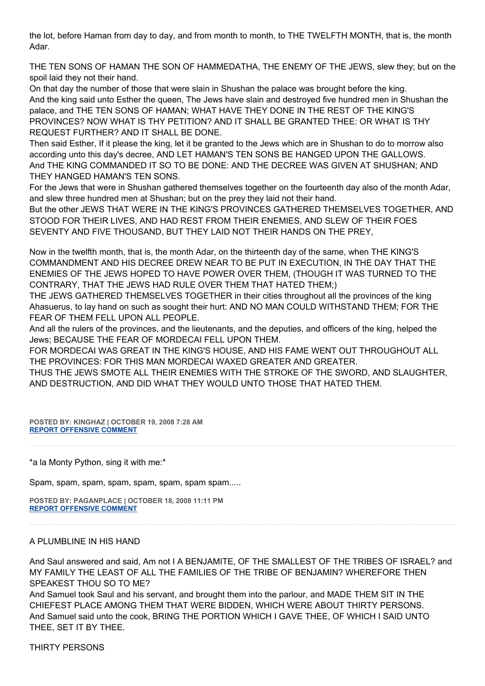the lot, before Haman from day to day, and from month to month, to THE TWELFTH MONTH, that is, the month Adar.

THE TEN SONS OF HAMAN THE SON OF HAMMEDATHA, THE ENEMY OF THE JEWS, slew they; but on the spoil laid they not their hand.

On that day the number of those that were slain in Shushan the palace was brought before the king. And the king said unto Esther the queen, The Jews have slain and destroyed five hundred men in Shushan the palace, and THE TEN SONS OF HAMAN; WHAT HAVE THEY DONE IN THE REST OF THE KING'S PROVINCES? NOW WHAT IS THY PETITION? AND IT SHALL BE GRANTED THEE: OR WHAT IS THY REQUEST FURTHER? AND IT SHALL BE DONE.

Then said Esther, If it please the king, let it be granted to the Jews which are in Shushan to do to morrow also according unto this day's decree, AND LET HAMAN'S TEN SONS BE HANGED UPON THE GALLOWS. And THE KING COMMANDED IT SO TO BE DONE: AND THE DECREE WAS GIVEN AT SHUSHAN; AND THEY HANGED HAMAN'S TEN SONS.

For the Jews that were in Shushan gathered themselves together on the fourteenth day also of the month Adar, and slew three hundred men at Shushan; but on the prey they laid not their hand.

But the other JEWS THAT WERE IN THE KING'S PROVINCES GATHERED THEMSELVES TOGETHER, AND STOOD FOR THEIR LIVES, AND HAD REST FROM THEIR ENEMIES, AND SLEW OF THEIR FOES SEVENTY AND FIVE THOUSAND, BUT THEY LAID NOT THEIR HANDS ON THE PREY,

Now in the twelfth month, that is, the month Adar, on the thirteenth day of the same, when THE KING'S COMMANDMENT AND HIS DECREE DREW NEAR TO BE PUT IN EXECUTION, IN THE DAY THAT THE ENEMIES OF THE JEWS HOPED TO HAVE POWER OVER THEM, (THOUGH IT WAS TURNED TO THE CONTRARY, THAT THE JEWS HAD RULE OVER THEM THAT HATED THEM;)

THE JEWS GATHERED THEMSELVES TOGETHER in their cities throughout all the provinces of the king Ahasuerus, to lay hand on such as sought their hurt: AND NO MAN COULD WITHSTAND THEM; FOR THE FEAR OF THEM FELL UPON ALL PEOPLE.

And all the rulers of the provinces, and the lieutenants, and the deputies, and officers of the king, helped the Jews; BECAUSE THE FEAR OF MORDECAI FELL UPON THEM.

FOR MORDECAI WAS GREAT IN THE KING'S HOUSE, AND HIS FAME WENT OUT THROUGHOUT ALL THE PROVINCES: FOR THIS MAN MORDECAI WAXED GREATER AND GREATER.

THUS THE JEWS SMOTE ALL THEIR ENEMIES WITH THE STROKE OF THE SWORD, AND SLAUGHTER, AND DESTRUCTION, AND DID WHAT THEY WOULD UNTO THOSE THAT HATED THEM.

**POSTED BY: KINGHAZ | OCTOBER 19, 2008 7:28 AM [REPORT OFFENSIVE COMMENT](mailto:blogs@washingtonpost.com?subject=On%20Faith%20Panelists%20Blog%20%20%7C%20%20kinghaz%20%20%7C%20%20The%20Economy%20and%20the%20Campaign:%20The%20Death%20of%20False%20Gods%20%20%7C%20%204553135&body=%0D%0D%0D%0D%0D================%0D?__mode=view%26_type=comment%26id=4553135%26blog_id=618)**

\*a la Monty Python, sing it with me:\*

Spam, spam, spam, spam, spam, spam, spam spam.....

**POSTED BY: PAGANPLACE | OCTOBER 18, 2008 11:11 PM [REPORT OFFENSIVE COMMENT](mailto:blogs@washingtonpost.com?subject=On%20Faith%20Panelists%20Blog%20%20%7C%20%20Paganplace%20%20%7C%20%20The%20Economy%20and%20the%20Campaign:%20The%20Death%20of%20False%20Gods%20%20%7C%20%204553078&body=%0D%0D%0D%0D%0D================%0D?__mode=view%26_type=comment%26id=4553078%26blog_id=618)**

## A PLUMBLINE IN HIS HAND

And Saul answered and said, Am not I A BENJAMITE, OF THE SMALLEST OF THE TRIBES OF ISRAEL? and MY FAMILY THE LEAST OF ALL THE FAMILIES OF THE TRIBE OF BENJAMIN? WHEREFORE THEN SPEAKEST THOU SO TO ME?

And Samuel took Saul and his servant, and brought them into the parlour, and MADE THEM SIT IN THE CHIEFEST PLACE AMONG THEM THAT WERE BIDDEN, WHICH WERE ABOUT THIRTY PERSONS. And Samuel said unto the cook, BRING THE PORTION WHICH I GAVE THEE, OF WHICH I SAID UNTO THEE, SET IT BY THEE.

THIRTY PERSONS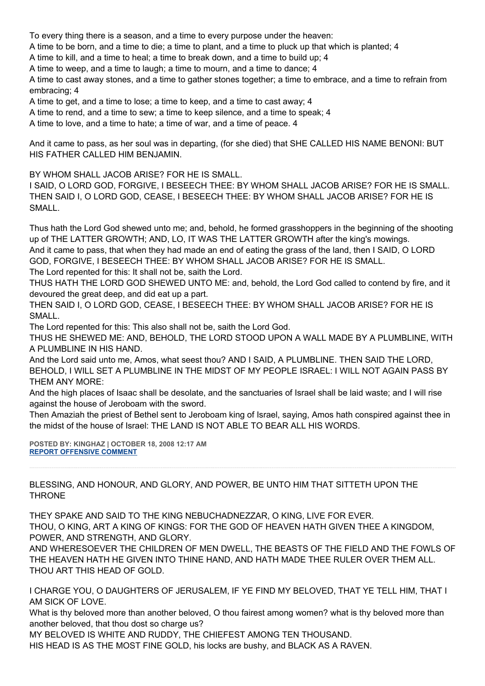To every thing there is a season, and a time to every purpose under the heaven:

A time to be born, and a time to die; a time to plant, and a time to pluck up that which is planted; 4

A time to kill, and a time to heal; a time to break down, and a time to build up; 4

A time to weep, and a time to laugh; a time to mourn, and a time to dance; 4

A time to cast away stones, and a time to gather stones together; a time to embrace, and a time to refrain from embracing; 4

A time to get, and a time to lose; a time to keep, and a time to cast away; 4

A time to rend, and a time to sew; a time to keep silence, and a time to speak; 4

A time to love, and a time to hate; a time of war, and a time of peace. 4

And it came to pass, as her soul was in departing, (for she died) that SHE CALLED HIS NAME BENONI: BUT HIS FATHER CALLED HIM BENJAMIN.

BY WHOM SHALL JACOB ARISE? FOR HE IS SMALL.

I SAID, O LORD GOD, FORGIVE, I BESEECH THEE: BY WHOM SHALL JACOB ARISE? FOR HE IS SMALL. THEN SAID I, O LORD GOD, CEASE, I BESEECH THEE: BY WHOM SHALL JACOB ARISE? FOR HE IS SMALL.

Thus hath the Lord God shewed unto me; and, behold, he formed grasshoppers in the beginning of the shooting up of THE LATTER GROWTH; AND, LO, IT WAS THE LATTER GROWTH after the king's mowings. And it came to pass, that when they had made an end of eating the grass of the land, then I SAID, O LORD GOD, FORGIVE, I BESEECH THEE: BY WHOM SHALL JACOB ARISE? FOR HE IS SMALL. The Lord repented for this: It shall not be, saith the Lord.

THUS HATH THE LORD GOD SHEWED UNTO ME: and, behold, the Lord God called to contend by fire, and it devoured the great deep, and did eat up a part.

THEN SAID I, O LORD GOD, CEASE, I BESEECH THEE: BY WHOM SHALL JACOB ARISE? FOR HE IS SMALL.

The Lord repented for this: This also shall not be, saith the Lord God.

THUS HE SHEWED ME: AND, BEHOLD, THE LORD STOOD UPON A WALL MADE BY A PLUMBLINE, WITH A PLUMBLINE IN HIS HAND.

And the Lord said unto me, Amos, what seest thou? AND I SAID, A PLUMBLINE. THEN SAID THE LORD, BEHOLD, I WILL SET A PLUMBLINE IN THE MIDST OF MY PEOPLE ISRAEL: I WILL NOT AGAIN PASS BY THEM ANY MORE:

And the high places of Isaac shall be desolate, and the sanctuaries of Israel shall be laid waste; and I will rise against the house of Jeroboam with the sword.

Then Amaziah the priest of Bethel sent to Jeroboam king of Israel, saying, Amos hath conspired against thee in the midst of the house of Israel: THE LAND IS NOT ABLE TO BEAR ALL HIS WORDS.

**POSTED BY: KINGHAZ | OCTOBER 18, 2008 12:17 AM [REPORT OFFENSIVE COMMENT](mailto:blogs@washingtonpost.com?subject=On%20Faith%20Panelists%20Blog%20%20%7C%20%20kinghaz%20%20%7C%20%20The%20Economy%20and%20the%20Campaign:%20The%20Death%20of%20False%20Gods%20%20%7C%20%204552833&body=%0D%0D%0D%0D%0D================%0D?__mode=view%26_type=comment%26id=4552833%26blog_id=618)**

BLESSING, AND HONOUR, AND GLORY, AND POWER, BE UNTO HIM THAT SITTETH UPON THE THRONE

THEY SPAKE AND SAID TO THE KING NEBUCHADNEZZAR, O KING, LIVE FOR EVER. THOU, O KING, ART A KING OF KINGS: FOR THE GOD OF HEAVEN HATH GIVEN THEE A KINGDOM, POWER, AND STRENGTH, AND GLORY.

AND WHERESOEVER THE CHILDREN OF MEN DWELL, THE BEASTS OF THE FIELD AND THE FOWLS OF THE HEAVEN HATH HE GIVEN INTO THINE HAND, AND HATH MADE THEE RULER OVER THEM ALL. THOU ART THIS HEAD OF GOLD.

I CHARGE YOU, O DAUGHTERS OF JERUSALEM, IF YE FIND MY BELOVED, THAT YE TELL HIM, THAT I AM SICK OF LOVE.

What is thy beloved more than another beloved, O thou fairest among women? what is thy beloved more than another beloved, that thou dost so charge us?

MY BELOVED IS WHITE AND RUDDY, THE CHIEFEST AMONG TEN THOUSAND. HIS HEAD IS AS THE MOST FINE GOLD, his locks are bushy, and BLACK AS A RAVEN.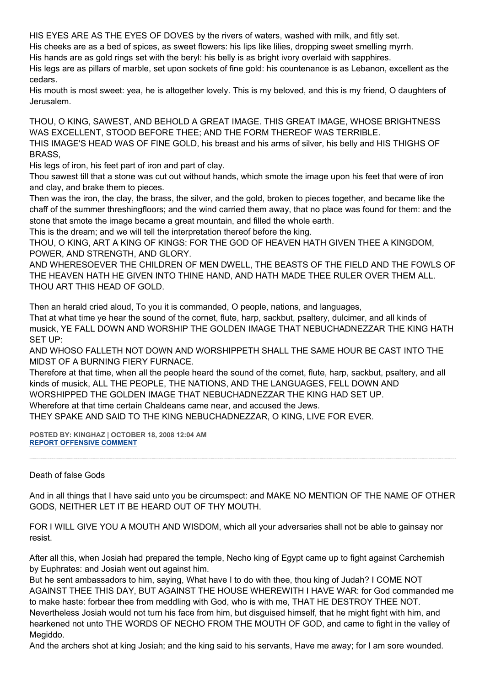HIS EYES ARE AS THE EYES OF DOVES by the rivers of waters, washed with milk, and fitly set.

His cheeks are as a bed of spices, as sweet flowers: his lips like lilies, dropping sweet smelling myrrh.

His hands are as gold rings set with the beryl: his belly is as bright ivory overlaid with sapphires.

His legs are as pillars of marble, set upon sockets of fine gold: his countenance is as Lebanon, excellent as the cedars.

His mouth is most sweet: yea, he is altogether lovely. This is my beloved, and this is my friend, O daughters of Jerusalem.

THOU, O KING, SAWEST, AND BEHOLD A GREAT IMAGE. THIS GREAT IMAGE, WHOSE BRIGHTNESS WAS EXCELLENT, STOOD BEFORE THEE; AND THE FORM THEREOF WAS TERRIBLE.

THIS IMAGE'S HEAD WAS OF FINE GOLD, his breast and his arms of silver, his belly and HIS THIGHS OF BRASS,

His legs of iron, his feet part of iron and part of clay.

Thou sawest till that a stone was cut out without hands, which smote the image upon his feet that were of iron and clay, and brake them to pieces.

Then was the iron, the clay, the brass, the silver, and the gold, broken to pieces together, and became like the chaff of the summer threshingfloors; and the wind carried them away, that no place was found for them: and the stone that smote the image became a great mountain, and filled the whole earth.

This is the dream; and we will tell the interpretation thereof before the king.

THOU, O KING, ART A KING OF KINGS: FOR THE GOD OF HEAVEN HATH GIVEN THEE A KINGDOM, POWER, AND STRENGTH, AND GLORY.

AND WHERESOEVER THE CHILDREN OF MEN DWELL, THE BEASTS OF THE FIELD AND THE FOWLS OF THE HEAVEN HATH HE GIVEN INTO THINE HAND, AND HATH MADE THEE RULER OVER THEM ALL. THOU ART THIS HEAD OF GOLD.

Then an herald cried aloud, To you it is commanded, O people, nations, and languages,

That at what time ye hear the sound of the cornet, flute, harp, sackbut, psaltery, dulcimer, and all kinds of musick, YE FALL DOWN AND WORSHIP THE GOLDEN IMAGE THAT NEBUCHADNEZZAR THE KING HATH SET UP:

AND WHOSO FALLETH NOT DOWN AND WORSHIPPETH SHALL THE SAME HOUR BE CAST INTO THE MIDST OF A BURNING FIERY FURNACE.

Therefore at that time, when all the people heard the sound of the cornet, flute, harp, sackbut, psaltery, and all kinds of musick, ALL THE PEOPLE, THE NATIONS, AND THE LANGUAGES, FELL DOWN AND WORSHIPPED THE GOLDEN IMAGE THAT NEBUCHADNEZZAR THE KING HAD SET UP. Wherefore at that time certain Chaldeans came near, and accused the Jews. THEY SPAKE AND SAID TO THE KING NEBUCHADNEZZAR, O KING, LIVE FOR EVER.

**POSTED BY: KINGHAZ | OCTOBER 18, 2008 12:04 AM [REPORT OFFENSIVE COMMENT](mailto:blogs@washingtonpost.com?subject=On%20Faith%20Panelists%20Blog%20%20%7C%20%20kinghaz%20%20%7C%20%20The%20Economy%20and%20the%20Campaign:%20The%20Death%20of%20False%20Gods%20%20%7C%20%204552826&body=%0D%0D%0D%0D%0D================%0D?__mode=view%26_type=comment%26id=4552826%26blog_id=618)**

Death of false Gods

And in all things that I have said unto you be circumspect: and MAKE NO MENTION OF THE NAME OF OTHER GODS, NEITHER LET IT BE HEARD OUT OF THY MOUTH.

FOR I WILL GIVE YOU A MOUTH AND WISDOM, which all your adversaries shall not be able to gainsay nor resist.

After all this, when Josiah had prepared the temple, Necho king of Egypt came up to fight against Carchemish by Euphrates: and Josiah went out against him.

But he sent ambassadors to him, saying, What have I to do with thee, thou king of Judah? I COME NOT AGAINST THEE THIS DAY, BUT AGAINST THE HOUSE WHEREWITH I HAVE WAR: for God commanded me to make haste: forbear thee from meddling with God, who is with me, THAT HE DESTROY THEE NOT. Nevertheless Josiah would not turn his face from him, but disguised himself, that he might fight with him, and hearkened not unto THE WORDS OF NECHO FROM THE MOUTH OF GOD, and came to fight in the valley of Megiddo.

And the archers shot at king Josiah; and the king said to his servants, Have me away; for I am sore wounded.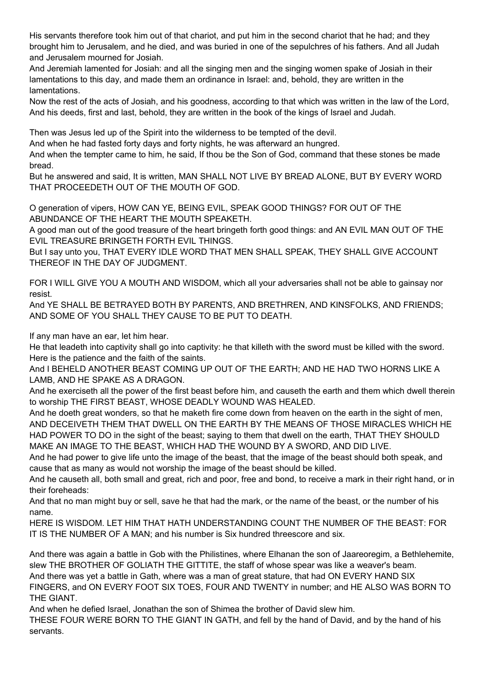His servants therefore took him out of that chariot, and put him in the second chariot that he had; and they brought him to Jerusalem, and he died, and was buried in one of the sepulchres of his fathers. And all Judah and Jerusalem mourned for Josiah.

And Jeremiah lamented for Josiah: and all the singing men and the singing women spake of Josiah in their lamentations to this day, and made them an ordinance in Israel: and, behold, they are written in the lamentations.

Now the rest of the acts of Josiah, and his goodness, according to that which was written in the law of the Lord, And his deeds, first and last, behold, they are written in the book of the kings of Israel and Judah.

Then was Jesus led up of the Spirit into the wilderness to be tempted of the devil.

And when he had fasted forty days and forty nights, he was afterward an hungred.

And when the tempter came to him, he said, If thou be the Son of God, command that these stones be made bread.

But he answered and said, It is written, MAN SHALL NOT LIVE BY BREAD ALONE, BUT BY EVERY WORD THAT PROCEEDETH OUT OF THE MOUTH OF GOD.

O generation of vipers, HOW CAN YE, BEING EVIL, SPEAK GOOD THINGS? FOR OUT OF THE ABUNDANCE OF THE HEART THE MOUTH SPEAKETH.

A good man out of the good treasure of the heart bringeth forth good things: and AN EVIL MAN OUT OF THE EVIL TREASURE BRINGETH FORTH EVIL THINGS.

But I say unto you, THAT EVERY IDLE WORD THAT MEN SHALL SPEAK, THEY SHALL GIVE ACCOUNT THEREOF IN THE DAY OF JUDGMENT.

FOR I WILL GIVE YOU A MOUTH AND WISDOM, which all your adversaries shall not be able to gainsay nor resist.

And YE SHALL BE BETRAYED BOTH BY PARENTS, AND BRETHREN, AND KINSFOLKS, AND FRIENDS; AND SOME OF YOU SHALL THEY CAUSE TO BE PUT TO DEATH.

If any man have an ear, let him hear.

He that leadeth into captivity shall go into captivity: he that killeth with the sword must be killed with the sword. Here is the patience and the faith of the saints.

And I BEHELD ANOTHER BEAST COMING UP OUT OF THE EARTH; AND HE HAD TWO HORNS LIKE A LAMB, AND HE SPAKE AS A DRAGON.

And he exerciseth all the power of the first beast before him, and causeth the earth and them which dwell therein to worship THE FIRST BEAST, WHOSE DEADLY WOUND WAS HEALED.

And he doeth great wonders, so that he maketh fire come down from heaven on the earth in the sight of men, AND DECEIVETH THEM THAT DWELL ON THE EARTH BY THE MEANS OF THOSE MIRACLES WHICH HE HAD POWER TO DO in the sight of the beast; saying to them that dwell on the earth, THAT THEY SHOULD MAKE AN IMAGE TO THE BEAST, WHICH HAD THE WOUND BY A SWORD, AND DID LIVE.

And he had power to give life unto the image of the beast, that the image of the beast should both speak, and cause that as many as would not worship the image of the beast should be killed.

And he causeth all, both small and great, rich and poor, free and bond, to receive a mark in their right hand, or in their foreheads:

And that no man might buy or sell, save he that had the mark, or the name of the beast, or the number of his name.

HERE IS WISDOM. LET HIM THAT HATH UNDERSTANDING COUNT THE NUMBER OF THE BEAST: FOR IT IS THE NUMBER OF A MAN; and his number is Six hundred threescore and six.

And there was again a battle in Gob with the Philistines, where Elhanan the son of Jaareoregim, a Bethlehemite, slew THE BROTHER OF GOLIATH THE GITTITE, the staff of whose spear was like a weaver's beam. And there was yet a battle in Gath, where was a man of great stature, that had ON EVERY HAND SIX FINGERS, and ON EVERY FOOT SIX TOES, FOUR AND TWENTY in number; and HE ALSO WAS BORN TO THE GIANT.

And when he defied Israel, Jonathan the son of Shimea the brother of David slew him.

THESE FOUR WERE BORN TO THE GIANT IN GATH, and fell by the hand of David, and by the hand of his servants.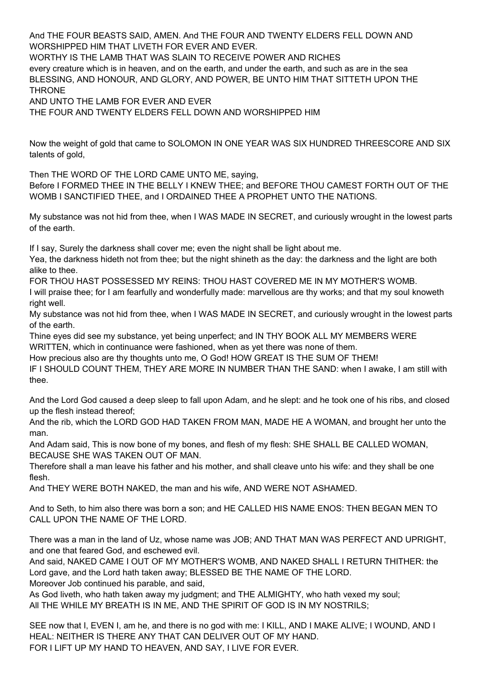And THE FOUR BEASTS SAID, AMEN. And THE FOUR AND TWENTY ELDERS FELL DOWN AND WORSHIPPED HIM THAT LIVETH FOR EVER AND EVER.

WORTHY IS THE LAMB THAT WAS SLAIN TO RECEIVE POWER AND RICHES every creature which is in heaven, and on the earth, and under the earth, and such as are in the sea BLESSING, AND HONOUR, AND GLORY, AND POWER, BE UNTO HIM THAT SITTETH UPON THE **THRONE** 

AND UNTO THE LAMB FOR EVER AND EVER

THE FOUR AND TWENTY ELDERS FELL DOWN AND WORSHIPPED HIM

Now the weight of gold that came to SOLOMON IN ONE YEAR WAS SIX HUNDRED THREESCORE AND SIX talents of gold,

Then THE WORD OF THE LORD CAME UNTO ME, saying,

Before I FORMED THEE IN THE BELLY I KNEW THEE; and BEFORE THOU CAMEST FORTH OUT OF THE WOMB I SANCTIFIED THEE, and I ORDAINED THEE A PROPHET UNTO THE NATIONS.

My substance was not hid from thee, when I WAS MADE IN SECRET, and curiously wrought in the lowest parts of the earth.

If I say, Surely the darkness shall cover me; even the night shall be light about me.

Yea, the darkness hideth not from thee; but the night shineth as the day: the darkness and the light are both alike to thee.

FOR THOU HAST POSSESSED MY REINS: THOU HAST COVERED ME IN MY MOTHER'S WOMB. I will praise thee; for I am fearfully and wonderfully made: marvellous are thy works; and that my soul knoweth right well.

My substance was not hid from thee, when I WAS MADE IN SECRET, and curiously wrought in the lowest parts of the earth.

Thine eyes did see my substance, yet being unperfect; and IN THY BOOK ALL MY MEMBERS WERE WRITTEN, which in continuance were fashioned, when as yet there was none of them.

How precious also are thy thoughts unto me, O God! HOW GREAT IS THE SUM OF THEM!

IF I SHOULD COUNT THEM, THEY ARE MORE IN NUMBER THAN THE SAND: when I awake, I am still with thee.

And the Lord God caused a deep sleep to fall upon Adam, and he slept: and he took one of his ribs, and closed up the flesh instead thereof;

And the rib, which the LORD GOD HAD TAKEN FROM MAN, MADE HE A WOMAN, and brought her unto the man.

And Adam said, This is now bone of my bones, and flesh of my flesh: SHE SHALL BE CALLED WOMAN, BECAUSE SHE WAS TAKEN OUT OF MAN.

Therefore shall a man leave his father and his mother, and shall cleave unto his wife: and they shall be one flesh.

And THEY WERE BOTH NAKED, the man and his wife, AND WERE NOT ASHAMED.

And to Seth, to him also there was born a son; and HE CALLED HIS NAME ENOS: THEN BEGAN MEN TO CALL UPON THE NAME OF THE LORD.

There was a man in the land of Uz, whose name was JOB; AND THAT MAN WAS PERFECT AND UPRIGHT, and one that feared God, and eschewed evil.

And said, NAKED CAME I OUT OF MY MOTHER'S WOMB, AND NAKED SHALL I RETURN THITHER: the Lord gave, and the Lord hath taken away; BLESSED BE THE NAME OF THE LORD. Moreover Job continued his parable, and said,

As God liveth, who hath taken away my judgment; and THE ALMIGHTY, who hath vexed my soul;

All THE WHILE MY BREATH IS IN ME, AND THE SPIRIT OF GOD IS IN MY NOSTRILS;

SEE now that I, EVEN I, am he, and there is no god with me: I KILL, AND I MAKE ALIVE; I WOUND, AND I HEAL: NEITHER IS THERE ANY THAT CAN DELIVER OUT OF MY HAND. FOR I LIFT UP MY HAND TO HEAVEN, AND SAY, I LIVE FOR EVER.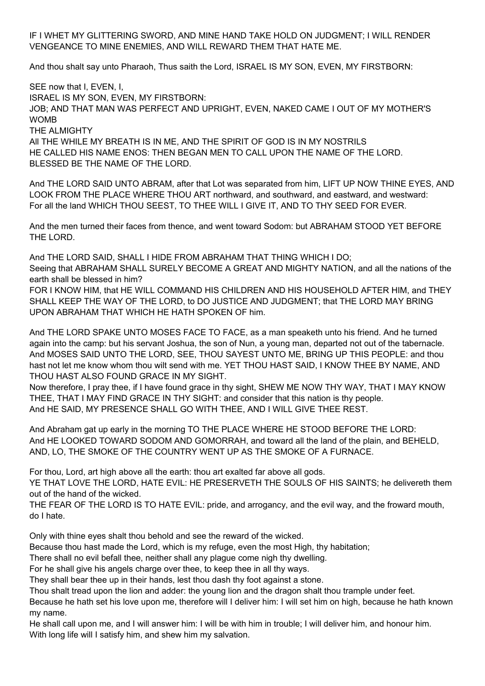IF I WHET MY GLITTERING SWORD, AND MINE HAND TAKE HOLD ON JUDGMENT; I WILL RENDER VENGEANCE TO MINE ENEMIES, AND WILL REWARD THEM THAT HATE ME.

And thou shalt say unto Pharaoh, Thus saith the Lord, ISRAEL IS MY SON, EVEN, MY FIRSTBORN:

SEE now that I, EVEN, I, ISRAEL IS MY SON, EVEN, MY FIRSTBORN: JOB; AND THAT MAN WAS PERFECT AND UPRIGHT, EVEN, NAKED CAME I OUT OF MY MOTHER'S **WOMB** THE ALMIGHTY All THE WHILE MY BREATH IS IN ME, AND THE SPIRIT OF GOD IS IN MY NOSTRILS

HE CALLED HIS NAME ENOS: THEN BEGAN MEN TO CALL UPON THE NAME OF THE LORD. BLESSED BE THE NAME OF THE LORD.

And THE LORD SAID UNTO ABRAM, after that Lot was separated from him, LIFT UP NOW THINE EYES, AND LOOK FROM THE PLACE WHERE THOU ART northward, and southward, and eastward, and westward: For all the land WHICH THOU SEEST, TO THEE WILL I GIVE IT, AND TO THY SEED FOR EVER.

And the men turned their faces from thence, and went toward Sodom: but ABRAHAM STOOD YET BEFORE THE LORD.

And THE LORD SAID, SHALL I HIDE FROM ABRAHAM THAT THING WHICH I DO; Seeing that ABRAHAM SHALL SURELY BECOME A GREAT AND MIGHTY NATION, and all the nations of the earth shall be blessed in him?

FOR I KNOW HIM, that HE WILL COMMAND HIS CHILDREN AND HIS HOUSEHOLD AFTER HIM, and THEY SHALL KEEP THE WAY OF THE LORD, to DO JUSTICE AND JUDGMENT; that THE LORD MAY BRING UPON ABRAHAM THAT WHICH HE HATH SPOKEN OF him.

And THE LORD SPAKE UNTO MOSES FACE TO FACE, as a man speaketh unto his friend. And he turned again into the camp: but his servant Joshua, the son of Nun, a young man, departed not out of the tabernacle. And MOSES SAID UNTO THE LORD, SEE, THOU SAYEST UNTO ME, BRING UP THIS PEOPLE: and thou hast not let me know whom thou wilt send with me. YET THOU HAST SAID, I KNOW THEE BY NAME, AND THOU HAST ALSO FOUND GRACE IN MY SIGHT.

Now therefore, I pray thee, if I have found grace in thy sight, SHEW ME NOW THY WAY, THAT I MAY KNOW THEE, THAT I MAY FIND GRACE IN THY SIGHT: and consider that this nation is thy people. And HE SAID, MY PRESENCE SHALL GO WITH THEE, AND I WILL GIVE THEE REST.

And Abraham gat up early in the morning TO THE PLACE WHERE HE STOOD BEFORE THE LORD: And HE LOOKED TOWARD SODOM AND GOMORRAH, and toward all the land of the plain, and BEHELD, AND, LO, THE SMOKE OF THE COUNTRY WENT UP AS THE SMOKE OF A FURNACE.

For thou, Lord, art high above all the earth: thou art exalted far above all gods.

YE THAT LOVE THE LORD, HATE EVIL: HE PRESERVETH THE SOULS OF HIS SAINTS; he delivereth them out of the hand of the wicked.

THE FEAR OF THE LORD IS TO HATE EVIL: pride, and arrogancy, and the evil way, and the froward mouth, do I hate.

Only with thine eyes shalt thou behold and see the reward of the wicked.

Because thou hast made the Lord, which is my refuge, even the most High, thy habitation;

There shall no evil befall thee, neither shall any plague come nigh thy dwelling.

For he shall give his angels charge over thee, to keep thee in all thy ways.

They shall bear thee up in their hands, lest thou dash thy foot against a stone.

Thou shalt tread upon the lion and adder: the young lion and the dragon shalt thou trample under feet.

Because he hath set his love upon me, therefore will I deliver him: I will set him on high, because he hath known my name.

He shall call upon me, and I will answer him: I will be with him in trouble; I will deliver him, and honour him. With long life will I satisfy him, and shew him my salvation.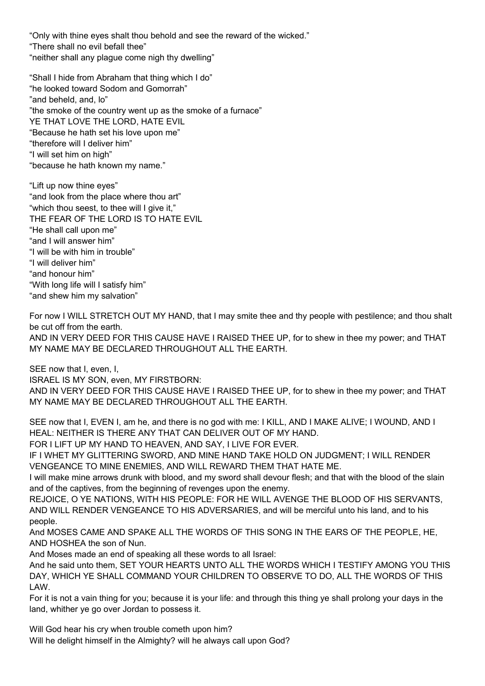"Only with thine eyes shalt thou behold and see the reward of the wicked." "There shall no evil befall thee" "neither shall any plague come nigh thy dwelling"

"Shall I hide from Abraham that thing which I do" "he looked toward Sodom and Gomorrah" "and beheld, and, lo" "the smoke of the country went up as the smoke of a furnace" YE THAT LOVE THE LORD, HATE EVIL "Because he hath set his love upon me" "therefore will I deliver him" "I will set him on high" "because he hath known my name."

"Lift up now thine eyes" "and look from the place where thou art" "which thou seest, to thee will I give it," THE FEAR OF THE LORD IS TO HATE EVIL "He shall call upon me" "and I will answer him" "I will be with him in trouble" "I will deliver him" "and honour him" "With long life will I satisfy him" "and shew him my salvation"

For now I WILL STRETCH OUT MY HAND, that I may smite thee and thy people with pestilence; and thou shalt be cut off from the earth. AND IN VERY DEED FOR THIS CAUSE HAVE I RAISED THEE UP, for to shew in thee my power; and THAT MY NAME MAY BE DECLARED THROUGHOUT ALL THE EARTH.

SEE now that I, even, I,

ISRAEL IS MY SON, even, MY FIRSTBORN:

AND IN VERY DEED FOR THIS CAUSE HAVE I RAISED THEE UP, for to shew in thee my power; and THAT MY NAME MAY BE DECLARED THROUGHOUT ALL THE EARTH.

SEE now that I, EVEN I, am he, and there is no god with me: I KILL, AND I MAKE ALIVE; I WOUND, AND I HEAL: NEITHER IS THERE ANY THAT CAN DELIVER OUT OF MY HAND.

FOR I LIFT UP MY HAND TO HEAVEN, AND SAY, I LIVE FOR EVER.

IF I WHET MY GLITTERING SWORD, AND MINE HAND TAKE HOLD ON JUDGMENT; I WILL RENDER VENGEANCE TO MINE ENEMIES, AND WILL REWARD THEM THAT HATE ME.

I will make mine arrows drunk with blood, and my sword shall devour flesh; and that with the blood of the slain and of the captives, from the beginning of revenges upon the enemy.

REJOICE, O YE NATIONS, WITH HIS PEOPLE: FOR HE WILL AVENGE THE BLOOD OF HIS SERVANTS, AND WILL RENDER VENGEANCE TO HIS ADVERSARIES, and will be merciful unto his land, and to his people.

And MOSES CAME AND SPAKE ALL THE WORDS OF THIS SONG IN THE EARS OF THE PEOPLE, HE, AND HOSHEA the son of Nun.

And Moses made an end of speaking all these words to all Israel:

And he said unto them, SET YOUR HEARTS UNTO ALL THE WORDS WHICH I TESTIFY AMONG YOU THIS DAY, WHICH YE SHALL COMMAND YOUR CHILDREN TO OBSERVE TO DO, ALL THE WORDS OF THIS LAW.

For it is not a vain thing for you; because it is your life: and through this thing ye shall prolong your days in the land, whither ye go over Jordan to possess it.

Will God hear his cry when trouble cometh upon him? Will he delight himself in the Almighty? will he always call upon God?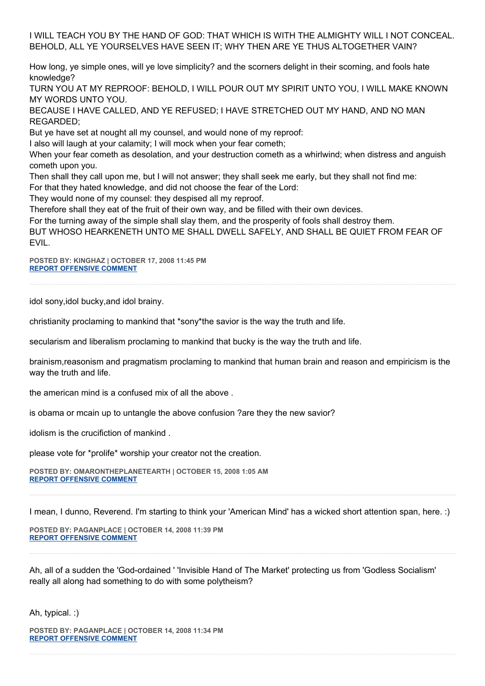I WILL TEACH YOU BY THE HAND OF GOD: THAT WHICH IS WITH THE ALMIGHTY WILL I NOT CONCEAL. BEHOLD, ALL YE YOURSELVES HAVE SEEN IT; WHY THEN ARE YE THUS ALTOGETHER VAIN?

How long, ye simple ones, will ye love simplicity? and the scorners delight in their scorning, and fools hate knowledge?

TURN YOU AT MY REPROOF: BEHOLD, I WILL POUR OUT MY SPIRIT UNTO YOU, I WILL MAKE KNOWN MY WORDS UNTO YOU.

BECAUSE I HAVE CALLED, AND YE REFUSED; I HAVE STRETCHED OUT MY HAND, AND NO MAN REGARDED;

But ye have set at nought all my counsel, and would none of my reproof:

I also will laugh at your calamity; I will mock when your fear cometh;

When your fear cometh as desolation, and your destruction cometh as a whirlwind; when distress and anguish cometh upon you.

Then shall they call upon me, but I will not answer; they shall seek me early, but they shall not find me:

For that they hated knowledge, and did not choose the fear of the Lord:

They would none of my counsel: they despised all my reproof.

Therefore shall they eat of the fruit of their own way, and be filled with their own devices.

For the turning away of the simple shall slay them, and the prosperity of fools shall destroy them.

BUT WHOSO HEARKENETH UNTO ME SHALL DWELL SAFELY, AND SHALL BE QUIET FROM FEAR OF EVIL.

**POSTED BY: KINGHAZ | OCTOBER 17, 2008 11:45 PM [REPORT OFFENSIVE COMMENT](mailto:blogs@washingtonpost.com?subject=On%20Faith%20Panelists%20Blog%20%20%7C%20%20kinghaz%20%20%7C%20%20The%20Economy%20and%20the%20Campaign:%20The%20Death%20of%20False%20Gods%20%20%7C%20%204552814&body=%0D%0D%0D%0D%0D================%0D?__mode=view%26_type=comment%26id=4552814%26blog_id=618)**

idol sony,idol bucky,and idol brainy.

christianity proclaming to mankind that \*sony\*the savior is the way the truth and life.

secularism and liberalism proclaming to mankind that bucky is the way the truth and life.

brainism,reasonism and pragmatism proclaming to mankind that human brain and reason and empiricism is the way the truth and life.

the american mind is a confused mix of all the above .

is obama or mcain up to untangle the above confusion ?are they the new savior?

idolism is the crucifiction of mankind .

please vote for \*prolife\* worship your creator not the creation.

**POSTED BY: OMARONTHEPLANETEARTH | OCTOBER 15, 2008 1:05 AM [REPORT OFFENSIVE COMMENT](mailto:blogs@washingtonpost.com?subject=On%20Faith%20Panelists%20Blog%20%20%7C%20%20omarontheplanetearth%20%20%7C%20%20The%20Economy%20and%20the%20Campaign:%20The%20Death%20of%20False%20Gods%20%20%7C%20%204551451&body=%0D%0D%0D%0D%0D================%0D?__mode=view%26_type=comment%26id=4551451%26blog_id=618)**

I mean, I dunno, Reverend. I'm starting to think your 'American Mind' has a wicked short attention span, here. :)

**POSTED BY: PAGANPLACE | OCTOBER 14, 2008 11:39 PM [REPORT OFFENSIVE COMMENT](mailto:blogs@washingtonpost.com?subject=On%20Faith%20Panelists%20Blog%20%20%7C%20%20Paganplace%20%20%7C%20%20The%20Economy%20and%20the%20Campaign:%20The%20Death%20of%20False%20Gods%20%20%7C%20%204551396&body=%0D%0D%0D%0D%0D================%0D?__mode=view%26_type=comment%26id=4551396%26blog_id=618)**

Ah, all of a sudden the 'God-ordained ' 'Invisible Hand of The Market' protecting us from 'Godless Socialism' really all along had something to do with some polytheism?

Ah, typical. :)

**POSTED BY: PAGANPLACE | OCTOBER 14, 2008 11:34 PM [REPORT OFFENSIVE COMMENT](mailto:blogs@washingtonpost.com?subject=On%20Faith%20Panelists%20Blog%20%20%7C%20%20Paganplace%20%20%7C%20%20The%20Economy%20and%20the%20Campaign:%20The%20Death%20of%20False%20Gods%20%20%7C%20%204551393&body=%0D%0D%0D%0D%0D================%0D?__mode=view%26_type=comment%26id=4551393%26blog_id=618)**